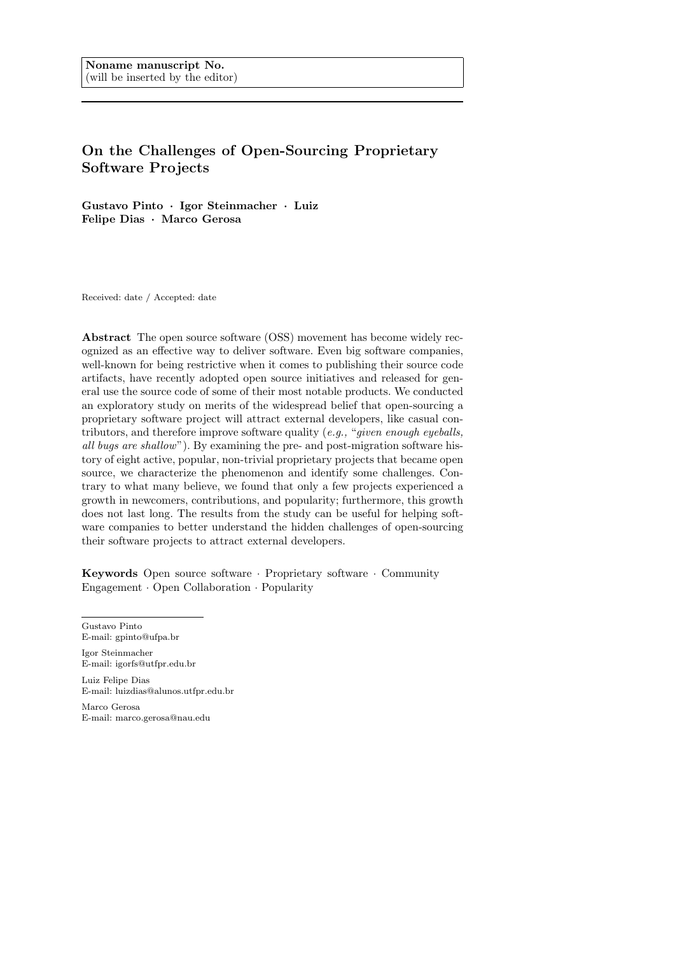# On the Challenges of Open-Sourcing Proprietary Software Projects

Gustavo Pinto · Igor Steinmacher · Luiz Felipe Dias · Marco Gerosa

Received: date / Accepted: date

Abstract The open source software (OSS) movement has become widely recognized as an effective way to deliver software. Even big software companies, well-known for being restrictive when it comes to publishing their source code artifacts, have recently adopted open source initiatives and released for general use the source code of some of their most notable products. We conducted an exploratory study on merits of the widespread belief that open-sourcing a proprietary software project will attract external developers, like casual contributors, and therefore improve software quality (e.g., "given enough eyeballs, all bugs are shallow"). By examining the pre- and post-migration software history of eight active, popular, non-trivial proprietary projects that became open source, we characterize the phenomenon and identify some challenges. Contrary to what many believe, we found that only a few projects experienced a growth in newcomers, contributions, and popularity; furthermore, this growth does not last long. The results from the study can be useful for helping software companies to better understand the hidden challenges of open-sourcing their software projects to attract external developers.

Keywords Open source software · Proprietary software · Community Engagement · Open Collaboration · Popularity

Gustavo Pinto E-mail: gpinto@ufpa.br

Igor Steinmacher E-mail: igorfs@utfpr.edu.br

Luiz Felipe Dias E-mail: luizdias@alunos.utfpr.edu.br

Marco Gerosa E-mail: marco.gerosa@nau.edu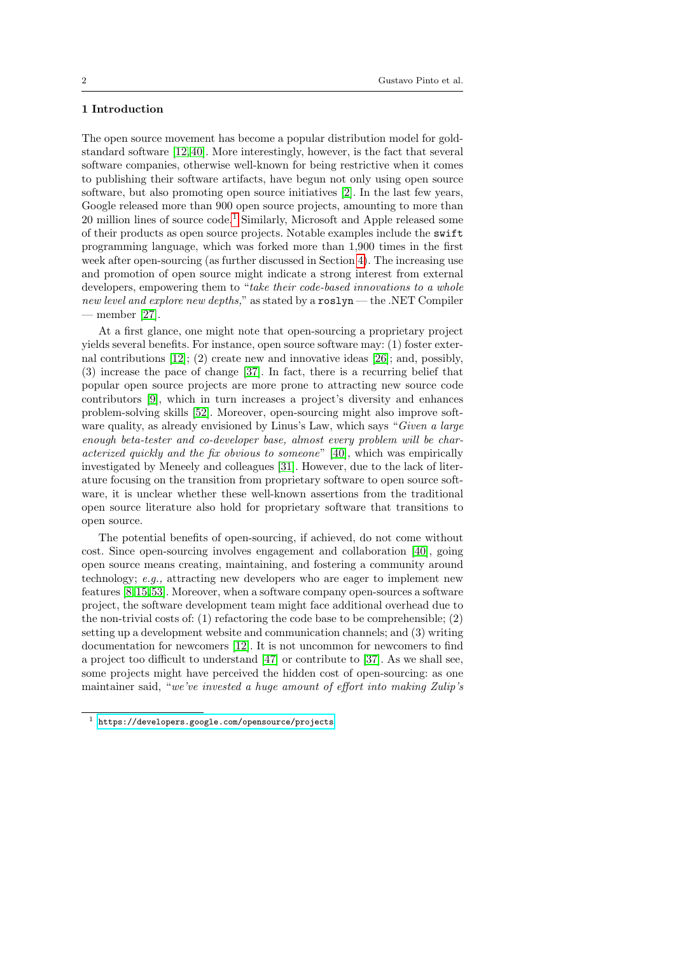# 1 Introduction

The open source movement has become a popular distribution model for goldstandard software [\[12,](#page-25-0) [40\]](#page-26-0). More interestingly, however, is the fact that several software companies, otherwise well-known for being restrictive when it comes to publishing their software artifacts, have begun not only using open source software, but also promoting open source initiatives [\[2\]](#page-24-0). In the last few years, Google released more than 900 open source projects, amounting to more than  $20$  million lines of source code.<sup>[1](#page-1-0)</sup> Similarly, Microsoft and Apple released some of their products as open source projects. Notable examples include the swift programming language, which was forked more than 1,900 times in the first week after open-sourcing (as further discussed in Section [4\)](#page-10-0). The increasing use and promotion of open source might indicate a strong interest from external developers, empowering them to "take their code-based innovations to a whole new level and explore new depths," as stated by a roslyn — the .NET Compiler member [\[27\]](#page-26-1).

At a first glance, one might note that open-sourcing a proprietary project yields several benefits. For instance, open source software may: (1) foster external contributions  $[12]$ ;  $(2)$  create new and innovative ideas  $[26]$ ; and, possibly, (3) increase the pace of change [\[37\]](#page-26-2). In fact, there is a recurring belief that popular open source projects are more prone to attracting new source code contributors [\[9\]](#page-25-2), which in turn increases a project's diversity and enhances problem-solving skills [\[52\]](#page-27-0). Moreover, open-sourcing might also improve software quality, as already envisioned by Linus's Law, which says "Given a large enough beta-tester and co-developer base, almost every problem will be characterized quickly and the fix obvious to someone" [\[40\]](#page-26-0), which was empirically investigated by Meneely and colleagues [\[31\]](#page-26-3). However, due to the lack of literature focusing on the transition from proprietary software to open source software, it is unclear whether these well-known assertions from the traditional open source literature also hold for proprietary software that transitions to open source.

The potential benefits of open-sourcing, if achieved, do not come without cost. Since open-sourcing involves engagement and collaboration [\[40\]](#page-26-0), going open source means creating, maintaining, and fostering a community around technology; e.g., attracting new developers who are eager to implement new features [\[8,](#page-25-3) [15,](#page-25-4) [53\]](#page-27-1). Moreover, when a software company open-sources a software project, the software development team might face additional overhead due to the non-trivial costs of:  $(1)$  refactoring the code base to be comprehensible;  $(2)$ setting up a development website and communication channels; and (3) writing documentation for newcomers [\[12\]](#page-25-0). It is not uncommon for newcomers to find a project too difficult to understand [\[47\]](#page-27-2) or contribute to [\[37\]](#page-26-2). As we shall see, some projects might have perceived the hidden cost of open-sourcing: as one maintainer said, "we've invested a huge amount of effort into making Zulip's

<span id="page-1-0"></span><sup>1</sup> [https://developers.google.com/opensource/projects](https://developers.google.com/open source/projects)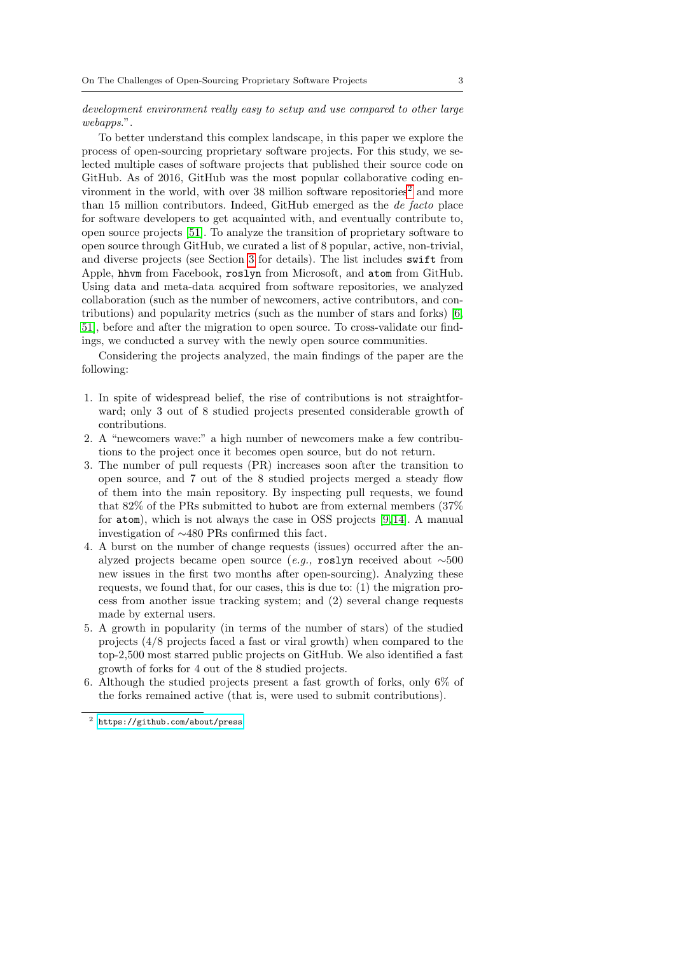development environment really easy to setup and use compared to other large webapps.".

To better understand this complex landscape, in this paper we explore the process of open-sourcing proprietary software projects. For this study, we selected multiple cases of software projects that published their source code on GitHub. As of 2016, GitHub was the most popular collaborative coding environment in the world, with over  $38$  million software repositories<sup>[2](#page-2-0)</sup> and more than 15 million contributors. Indeed, GitHub emerged as the de facto place for software developers to get acquainted with, and eventually contribute to, open source projects [\[51\]](#page-27-3). To analyze the transition of proprietary software to open source through GitHub, we curated a list of 8 popular, active, non-trivial, and diverse projects (see Section [3](#page-4-0) for details). The list includes swift from Apple, hhvm from Facebook, roslyn from Microsoft, and atom from GitHub. Using data and meta-data acquired from software repositories, we analyzed collaboration (such as the number of newcomers, active contributors, and contributions) and popularity metrics (such as the number of stars and forks) [\[6,](#page-25-5) [51\]](#page-27-3), before and after the migration to open source. To cross-validate our findings, we conducted a survey with the newly open source communities.

Considering the projects analyzed, the main findings of the paper are the following:

- 1. In spite of widespread belief, the rise of contributions is not straightforward; only 3 out of 8 studied projects presented considerable growth of contributions.
- 2. A "newcomers wave:" a high number of newcomers make a few contributions to the project once it becomes open source, but do not return.
- 3. The number of pull requests (PR) increases soon after the transition to open source, and 7 out of the 8 studied projects merged a steady flow of them into the main repository. By inspecting pull requests, we found that 82% of the PRs submitted to hubot are from external members (37% for atom), which is not always the case in OSS projects [\[9,](#page-25-2) [14\]](#page-25-6). A manual investigation of ∼480 PRs confirmed this fact.
- 4. A burst on the number of change requests (issues) occurred after the analyzed projects became open source (e.g., roslyn received about ∼500 new issues in the first two months after open-sourcing). Analyzing these requests, we found that, for our cases, this is due to: (1) the migration process from another issue tracking system; and (2) several change requests made by external users.
- 5. A growth in popularity (in terms of the number of stars) of the studied projects (4/8 projects faced a fast or viral growth) when compared to the top-2,500 most starred public projects on GitHub. We also identified a fast growth of forks for 4 out of the 8 studied projects.
- 6. Although the studied projects present a fast growth of forks, only 6% of the forks remained active (that is, were used to submit contributions).

<span id="page-2-0"></span><sup>2</sup> <https://github.com/about/press>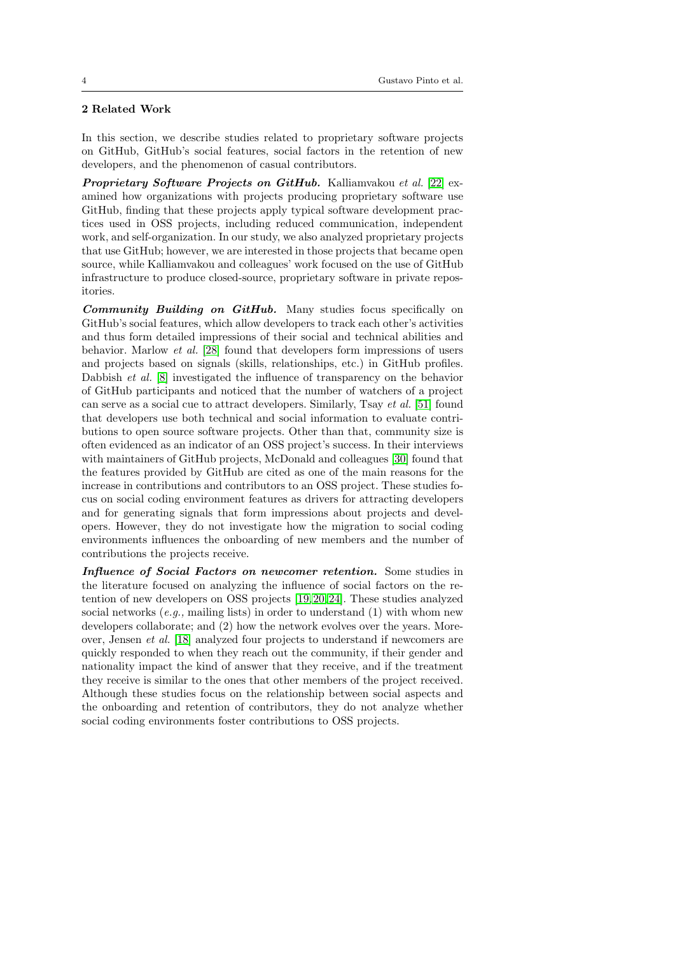# 2 Related Work

In this section, we describe studies related to proprietary software projects on GitHub, GitHub's social features, social factors in the retention of new developers, and the phenomenon of casual contributors.

Proprietary Software Projects on GitHub. Kalliamvakou et al. [\[22\]](#page-25-7) examined how organizations with projects producing proprietary software use GitHub, finding that these projects apply typical software development practices used in OSS projects, including reduced communication, independent work, and self-organization. In our study, we also analyzed proprietary projects that use GitHub; however, we are interested in those projects that became open source, while Kalliamvakou and colleagues' work focused on the use of GitHub infrastructure to produce closed-source, proprietary software in private repositories.

Community Building on GitHub. Many studies focus specifically on GitHub's social features, which allow developers to track each other's activities and thus form detailed impressions of their social and technical abilities and behavior. Marlow et al. [\[28\]](#page-26-4) found that developers form impressions of users and projects based on signals (skills, relationships, etc.) in GitHub profiles. Dabbish et al. [\[8\]](#page-25-3) investigated the influence of transparency on the behavior of GitHub participants and noticed that the number of watchers of a project can serve as a social cue to attract developers. Similarly, Tsay et al. [\[51\]](#page-27-3) found that developers use both technical and social information to evaluate contributions to open source software projects. Other than that, community size is often evidenced as an indicator of an OSS project's success. In their interviews with maintainers of GitHub projects, McDonald and colleagues [\[30\]](#page-26-5) found that the features provided by GitHub are cited as one of the main reasons for the increase in contributions and contributors to an OSS project. These studies focus on social coding environment features as drivers for attracting developers and for generating signals that form impressions about projects and developers. However, they do not investigate how the migration to social coding environments influences the onboarding of new members and the number of contributions the projects receive.

Influence of Social Factors on newcomer retention. Some studies in the literature focused on analyzing the influence of social factors on the retention of new developers on OSS projects [\[19,](#page-25-8) [20,](#page-25-9) [24\]](#page-25-10). These studies analyzed social networks  $(e.g., \text{ mailing lists})$  in order to understand  $(1)$  with whom new developers collaborate; and (2) how the network evolves over the years. Moreover, Jensen et al. [\[18\]](#page-25-11) analyzed four projects to understand if newcomers are quickly responded to when they reach out the community, if their gender and nationality impact the kind of answer that they receive, and if the treatment they receive is similar to the ones that other members of the project received. Although these studies focus on the relationship between social aspects and the onboarding and retention of contributors, they do not analyze whether social coding environments foster contributions to OSS projects.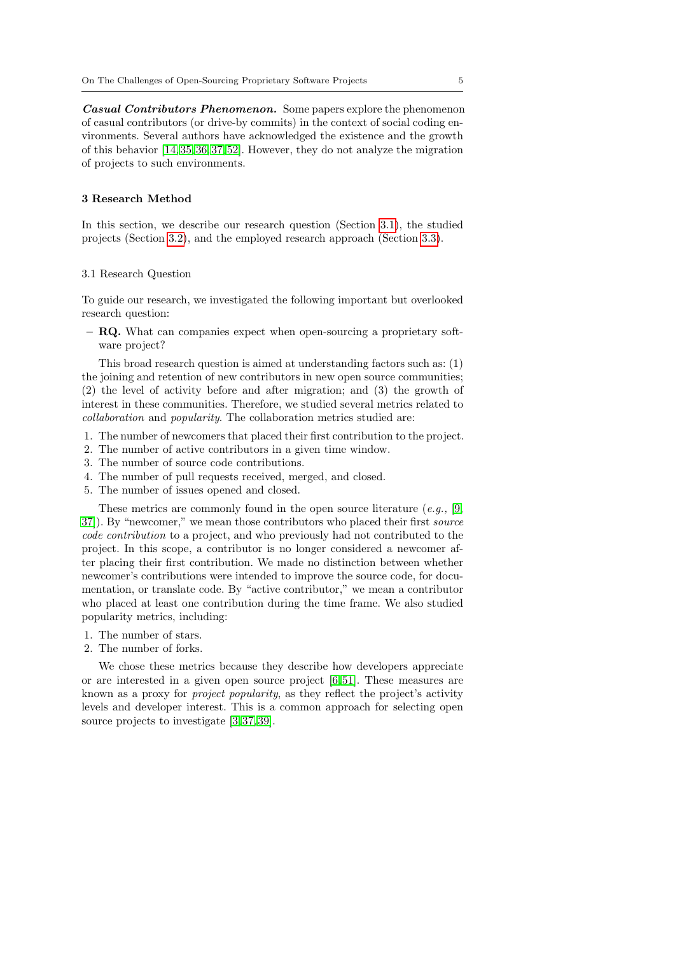Casual Contributors Phenomenon. Some papers explore the phenomenon of casual contributors (or drive-by commits) in the context of social coding environments. Several authors have acknowledged the existence and the growth of this behavior [\[14,](#page-25-6) [35,](#page-26-6) [36,](#page-26-7) [37,](#page-26-2) [52\]](#page-27-0). However, they do not analyze the migration of projects to such environments.

#### <span id="page-4-0"></span>3 Research Method

In this section, we describe our research question (Section [3.1\)](#page-4-1), the studied projects (Section [3.2\)](#page-5-0), and the employed research approach (Section [3.3\)](#page-7-0).

#### <span id="page-4-1"></span>3.1 Research Question

To guide our research, we investigated the following important but overlooked research question:

– RQ. What can companies expect when open-sourcing a proprietary software project?

This broad research question is aimed at understanding factors such as: (1) the joining and retention of new contributors in new open source communities; (2) the level of activity before and after migration; and (3) the growth of interest in these communities. Therefore, we studied several metrics related to collaboration and popularity. The collaboration metrics studied are:

- 1. The number of newcomers that placed their first contribution to the project.
- 2. The number of active contributors in a given time window.
- 3. The number of source code contributions.
- 4. The number of pull requests received, merged, and closed.
- 5. The number of issues opened and closed.

These metrics are commonly found in the open source literature (e.g., [\[9,](#page-25-2) [37\]](#page-26-2)). By "newcomer," we mean those contributors who placed their first source code contribution to a project, and who previously had not contributed to the project. In this scope, a contributor is no longer considered a newcomer after placing their first contribution. We made no distinction between whether newcomer's contributions were intended to improve the source code, for documentation, or translate code. By "active contributor," we mean a contributor who placed at least one contribution during the time frame. We also studied popularity metrics, including:

- 1. The number of stars.
- 2. The number of forks.

We chose these metrics because they describe how developers appreciate or are interested in a given open source project [\[6,](#page-25-5) [51\]](#page-27-3). These measures are known as a proxy for project popularity, as they reflect the project's activity levels and developer interest. This is a common approach for selecting open source projects to investigate [\[3,](#page-24-1) [37,](#page-26-2) [39\]](#page-26-8).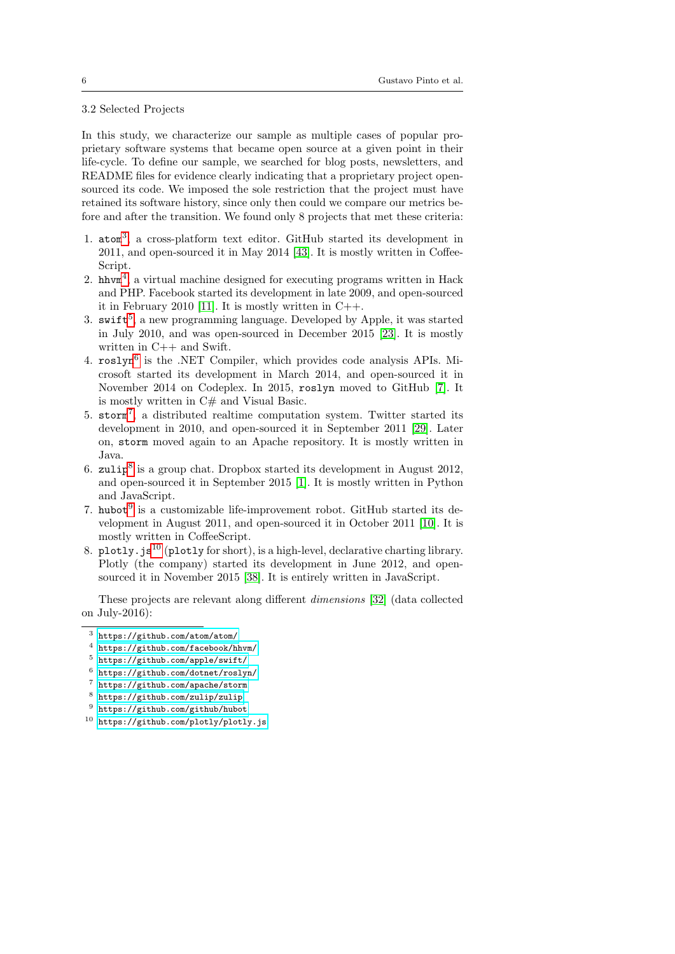<span id="page-5-0"></span>3.2 Selected Projects

In this study, we characterize our sample as multiple cases of popular proprietary software systems that became open source at a given point in their life-cycle. To define our sample, we searched for blog posts, newsletters, and README files for evidence clearly indicating that a proprietary project opensourced its code. We imposed the sole restriction that the project must have retained its software history, since only then could we compare our metrics before and after the transition. We found only 8 projects that met these criteria:

- 1. atom[3](#page-5-1) , a cross-platform text editor. GitHub started its development in 2011, and open-sourced it in May 2014 [\[43\]](#page-26-9). It is mostly written in Coffee-Script.
- 2.  $hhvm<sup>4</sup>$  $hhvm<sup>4</sup>$  $hhvm<sup>4</sup>$ , a virtual machine designed for executing programs written in Hack and PHP. Facebook started its development in late 2009, and open-sourced it in February 2010 [\[11\]](#page-25-12). It is mostly written in  $C++$ .
- 3.  $\text{switch}^5$  $\text{switch}^5$ , a new programming language. Developed by Apple, it was started in July 2010, and was open-sourced in December 2015 [\[23\]](#page-25-13). It is mostly written in C++ and Swift.
- 4. roslyn<sup>[6](#page-5-4)</sup> is the .NET Compiler, which provides code analysis APIs. Microsoft started its development in March 2014, and open-sourced it in November 2014 on Codeplex. In 2015, roslyn moved to GitHub [\[7\]](#page-25-14). It is mostly written in C# and Visual Basic.
- 5. storm[7](#page-5-5) , a distributed realtime computation system. Twitter started its development in 2010, and open-sourced it in September 2011 [\[29\]](#page-26-10). Later on, storm moved again to an Apache repository. It is mostly written in Java.
- 6.  $\text{zulip}^8$  $\text{zulip}^8$  is a group chat. Dropbox started its development in August 2012, and open-sourced it in September 2015 [\[1\]](#page-24-2). It is mostly written in Python and JavaScript.
- 7. hubot<sup>[9](#page-5-7)</sup> is a customizable life-improvement robot. GitHub started its development in August 2011, and open-sourced it in October 2011 [\[10\]](#page-25-15). It is mostly written in CoffeeScript.
- 8. plotly.  $j s^{10}$  $j s^{10}$  $j s^{10}$  (plotly for short), is a high-level, declarative charting library. Plotly (the company) started its development in June 2012, and opensourced it in November 2015 [\[38\]](#page-26-11). It is entirely written in JavaScript.

These projects are relevant along different dimensions [\[32\]](#page-26-12) (data collected on July-2016):

<span id="page-5-6"></span><sup>8</sup> <https://github.com/zulip/zulip>

<span id="page-5-1"></span><sup>3</sup> <https://github.com/atom/atom/>

<span id="page-5-2"></span><sup>4</sup> <https://github.com/facebook/hhvm/>

<span id="page-5-3"></span> $^5$ <https://github.com/apple/swift/>

<span id="page-5-4"></span><sup>6</sup> <https://github.com/dotnet/roslyn/>

<span id="page-5-5"></span><sup>7</sup> <https://github.com/apache/storm>

<span id="page-5-7"></span><sup>9</sup> <https://github.com/github/hubot>

<span id="page-5-8"></span><sup>10</sup> <https://github.com/plotly/plotly.js>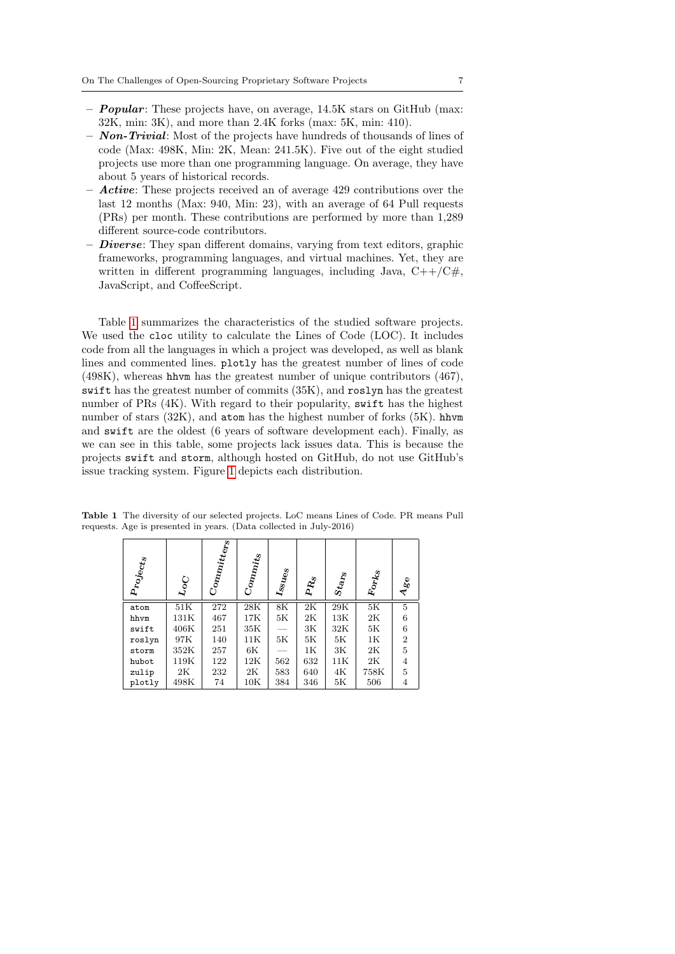- $P$  **Popular**: These projects have, on average, 14.5K stars on GitHub (max: 32K, min: 3K), and more than 2.4K forks (max: 5K, min: 410).
- $-$  **Non-Trivial:** Most of the projects have hundreds of thousands of lines of code (Max: 498K, Min: 2K, Mean: 241.5K). Five out of the eight studied projects use more than one programming language. On average, they have about 5 years of historical records.
- Active: These projects received an of average 429 contributions over the last 12 months (Max: 940, Min: 23), with an average of 64 Pull requests (PRs) per month. These contributions are performed by more than 1,289 different source-code contributors.
- $-$  **Diverse:** They span different domains, varying from text editors, graphic frameworks, programming languages, and virtual machines. Yet, they are written in different programming languages, including Java,  $C++/C\#$ , JavaScript, and CoffeeScript.

Table [1](#page-6-0) summarizes the characteristics of the studied software projects. We used the cloc utility to calculate the Lines of Code (LOC). It includes code from all the languages in which a project was developed, as well as blank lines and commented lines. plotly has the greatest number of lines of code (498K), whereas hhvm has the greatest number of unique contributors (467), swift has the greatest number of commits (35K), and roslyn has the greatest number of PRs (4K). With regard to their popularity, swift has the highest number of stars (32K), and atom has the highest number of forks (5K). hhvm and swift are the oldest (6 years of software development each). Finally, as we can see in this table, some projects lack issues data. This is because the projects swift and storm, although hosted on GitHub, do not use GitHub's issue tracking system. Figure [1](#page-7-1) depicts each distribution.

<span id="page-6-0"></span>

| $\mathbf{P}_{\mathbf{rojeq}_{\mathbf{c}_{\mathbf{f}_{\mathbf{S}}}}}$ | $L_{\rm{OC}}$ | $\mathrm{Com}_\mathrm{Init}_{\mathbf{ter}_\mathrm{S}}$ | $\mathrm{Co}_{\mathrm{N}\mathrm{m}_{\mathrm{I}}i_{\mathrm{LS}}}$ | $I_{\rm{Sy}_{{\rm{leg}}}}$ | $\mathcal{P}^S_{\mathcal{C}}$ | $s_{t\rm a_{rs}}$ | $F_{O_{I\!P\!,\boldsymbol{\xi}_\mathrm{S}}}$ | $\mathcal{A}^{\mathcal{E}\mathcal{\Theta}}_{\mathcal{S}}$ |
|----------------------------------------------------------------------|---------------|--------------------------------------------------------|------------------------------------------------------------------|----------------------------|-------------------------------|-------------------|----------------------------------------------|-----------------------------------------------------------|
| atom                                                                 | 51K           | 272                                                    | 28K                                                              | 8K                         | 2K                            | 29K               | 5Κ                                           | 5                                                         |
| hhvm                                                                 | 131K          | 467                                                    | 17K                                                              | 5K                         | $2\mathrm{K}$                 | 13K               | $2\mathrm{K}$                                | 6                                                         |
| swift                                                                | 406K          | 251                                                    | 35K                                                              |                            | 3K                            | 32K               | 5Κ                                           | 6                                                         |
| roslyn                                                               | 97K           | 140                                                    | 11K                                                              | 5K                         | 5K                            | 5К                | 1K                                           | $\overline{2}$                                            |
| storm                                                                | 352K          | 257                                                    | 6K                                                               |                            | 1K                            | 3K                | $2\mathrm{K}$                                | 5                                                         |
| hubot                                                                | 119K          | 122                                                    | 12K                                                              | 562                        | 632                           | 11K               | 2K                                           | $\overline{4}$                                            |
| zulip                                                                | $2\mathrm{K}$ | 232                                                    | 2К                                                               | 583                        | 640                           | 4K                | 758K                                         | 5                                                         |
| plotly                                                               | 498K          | 74                                                     | 10K                                                              | 384                        | 346                           | 5K                | 506                                          | 4                                                         |

Table 1 The diversity of our selected projects. LoC means Lines of Code. PR means Pull requests. Age is presented in years. (Data collected in July-2016)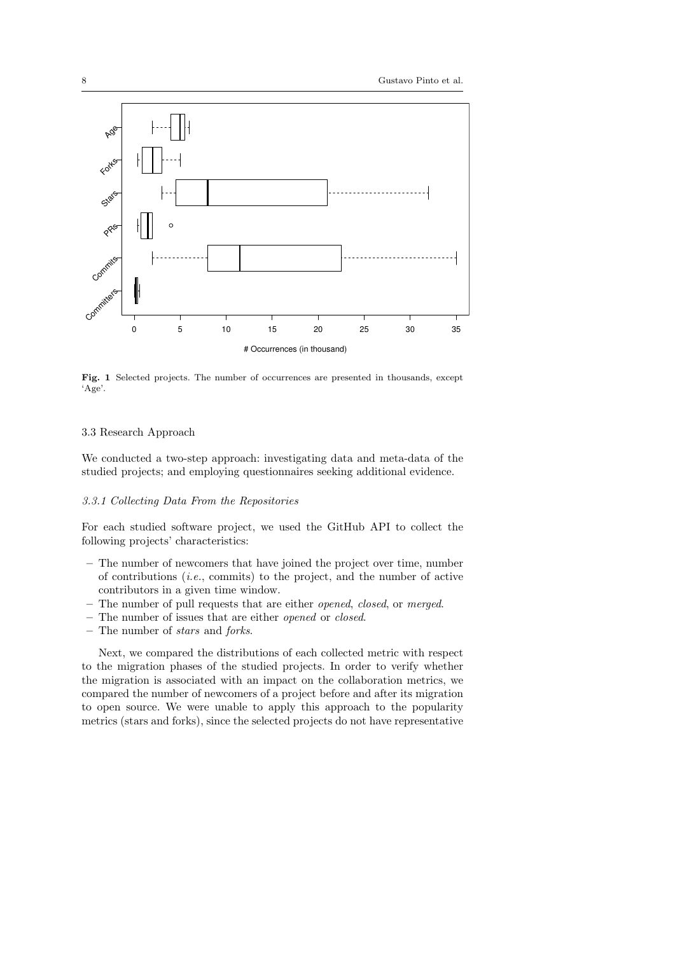

<span id="page-7-1"></span>Fig. 1 Selected projects. The number of occurrences are presented in thousands, except 'Age'.

#### <span id="page-7-0"></span>3.3 Research Approach

We conducted a two-step approach: investigating data and meta-data of the studied projects; and employing questionnaires seeking additional evidence.

## 3.3.1 Collecting Data From the Repositories

For each studied software project, we used the GitHub API to collect the following projects' characteristics:

- The number of newcomers that have joined the project over time, number of contributions  $(i.e.,$  commits) to the project, and the number of active contributors in a given time window.
- The number of pull requests that are either opened, closed, or merged.
- The number of issues that are either opened or closed.
- The number of stars and forks.

Next, we compared the distributions of each collected metric with respect to the migration phases of the studied projects. In order to verify whether the migration is associated with an impact on the collaboration metrics, we compared the number of newcomers of a project before and after its migration to open source. We were unable to apply this approach to the popularity metrics (stars and forks), since the selected projects do not have representative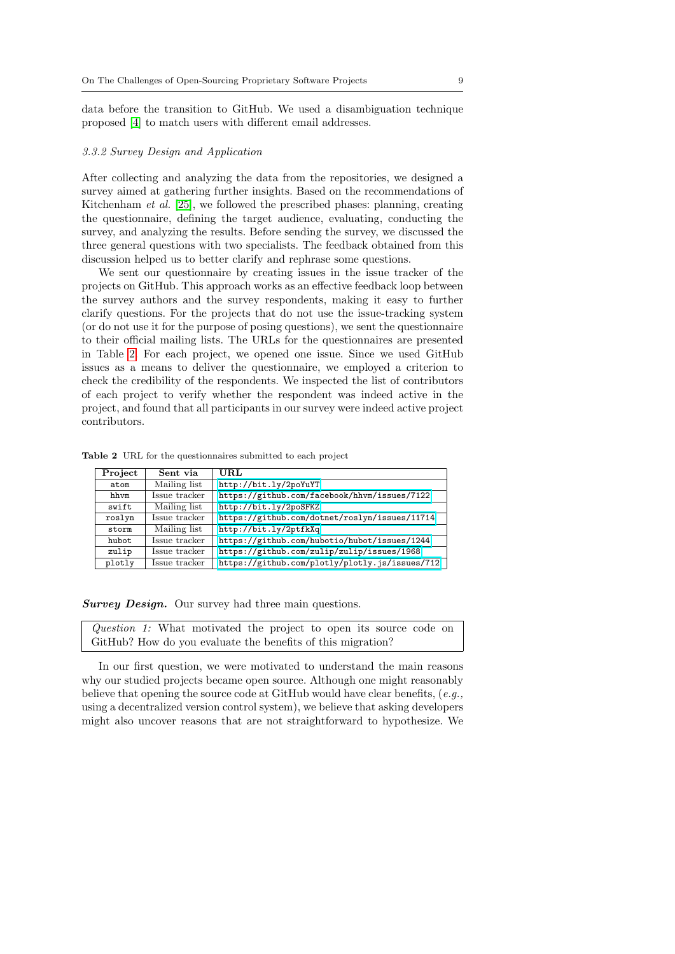data before the transition to GitHub. We used a disambiguation technique proposed [\[4\]](#page-24-3) to match users with different email addresses.

#### 3.3.2 Survey Design and Application

After collecting and analyzing the data from the repositories, we designed a survey aimed at gathering further insights. Based on the recommendations of Kitchenham et al. [\[25\]](#page-25-16), we followed the prescribed phases: planning, creating the questionnaire, defining the target audience, evaluating, conducting the survey, and analyzing the results. Before sending the survey, we discussed the three general questions with two specialists. The feedback obtained from this discussion helped us to better clarify and rephrase some questions.

We sent our questionnaire by creating issues in the issue tracker of the projects on GitHub. This approach works as an effective feedback loop between the survey authors and the survey respondents, making it easy to further clarify questions. For the projects that do not use the issue-tracking system (or do not use it for the purpose of posing questions), we sent the questionnaire to their official mailing lists. The URLs for the questionnaires are presented in Table [2.](#page-8-0) For each project, we opened one issue. Since we used GitHub issues as a means to deliver the questionnaire, we employed a criterion to check the credibility of the respondents. We inspected the list of contributors of each project to verify whether the respondent was indeed active in the project, and found that all participants in our survey were indeed active project contributors.

Table 2 URL for the questionnaires submitted to each project

<span id="page-8-0"></span>

| Project | Sent via      | URL                                            |
|---------|---------------|------------------------------------------------|
| atom    | Mailing list  | http://bit.ly/2poYuYT                          |
| hhvm    | Issue tracker | https://github.com/facebook/hhvm/issues/7122   |
| swift   | Mailing list  | http://bit.ly/2poSFKZ                          |
| roslyn  | Issue tracker | https://github.com/dotnet/roslyn/issues/11714  |
| storm   | Mailing list  | http://bit.ly/2ptfkXq                          |
| hubot   | Issue tracker | https://github.com/hubotio/hubot/issues/1244   |
| zulip   | Issue tracker | https://github.com/zulip/zulip/issues/1968     |
| plotly  | Issue tracker | https://github.com/plotly/plotly.js/issues/712 |

**Survey Design.** Our survey had three main questions.

Question 1: What motivated the project to open its source code on GitHub? How do you evaluate the benefits of this migration?

In our first question, we were motivated to understand the main reasons why our studied projects became open source. Although one might reasonably believe that opening the source code at GitHub would have clear benefits,  $(e.g.,$ using a decentralized version control system), we believe that asking developers might also uncover reasons that are not straightforward to hypothesize. We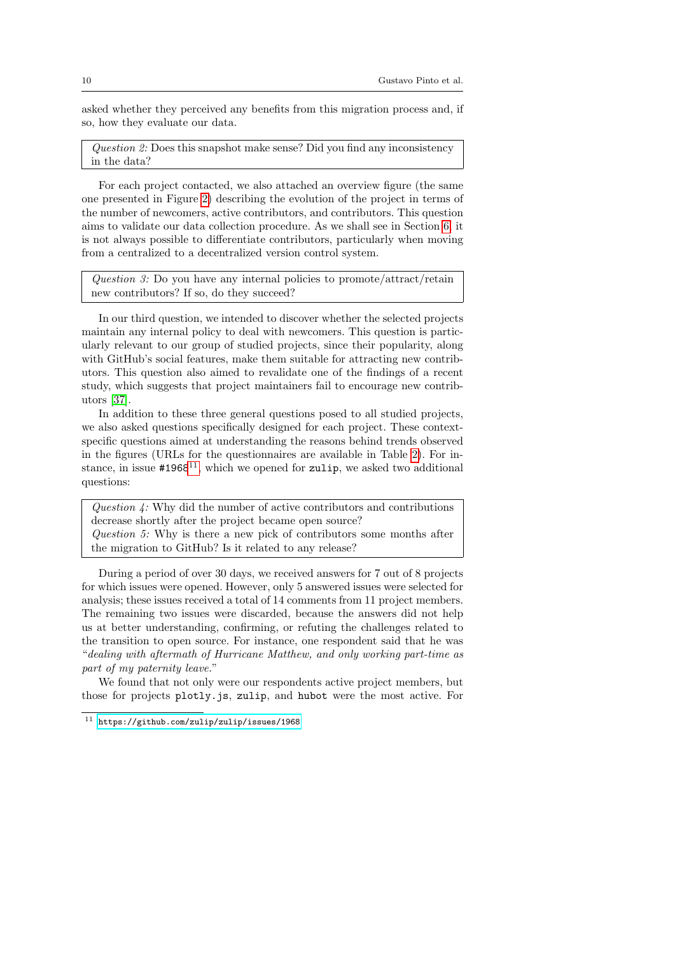asked whether they perceived any benefits from this migration process and, if so, how they evaluate our data.

Question 2: Does this snapshot make sense? Did you find any inconsistency in the data?

For each project contacted, we also attached an overview figure (the same one presented in Figure [2\)](#page-11-0) describing the evolution of the project in terms of the number of newcomers, active contributors, and contributors. This question aims to validate our data collection procedure. As we shall see in Section [6,](#page-22-0) it is not always possible to differentiate contributors, particularly when moving from a centralized to a decentralized version control system.

Question 3: Do you have any internal policies to promote/attract/retain new contributors? If so, do they succeed?

In our third question, we intended to discover whether the selected projects maintain any internal policy to deal with newcomers. This question is particularly relevant to our group of studied projects, since their popularity, along with GitHub's social features, make them suitable for attracting new contributors. This question also aimed to revalidate one of the findings of a recent study, which suggests that project maintainers fail to encourage new contributors [\[37\]](#page-26-2).

In addition to these three general questions posed to all studied projects, we also asked questions specifically designed for each project. These contextspecific questions aimed at understanding the reasons behind trends observed in the figures (URLs for the questionnaires are available in Table [2\)](#page-8-0). For instance, in issue  $\#1968^{11}$  $\#1968^{11}$  $\#1968^{11}$ , which we opened for zulip, we asked two additional questions:

Question 4: Why did the number of active contributors and contributions decrease shortly after the project became open source? Question 5: Why is there a new pick of contributors some months after the migration to GitHub? Is it related to any release?

During a period of over 30 days, we received answers for 7 out of 8 projects for which issues were opened. However, only 5 answered issues were selected for analysis; these issues received a total of 14 comments from 11 project members. The remaining two issues were discarded, because the answers did not help us at better understanding, confirming, or refuting the challenges related to the transition to open source. For instance, one respondent said that he was "dealing with aftermath of Hurricane Matthew, and only working part-time as part of my paternity leave."

We found that not only were our respondents active project members, but those for projects plotly.js, zulip, and hubot were the most active. For

<span id="page-9-0"></span> $^{11}\,$ <https://github.com/zulip/zulip/issues/1968>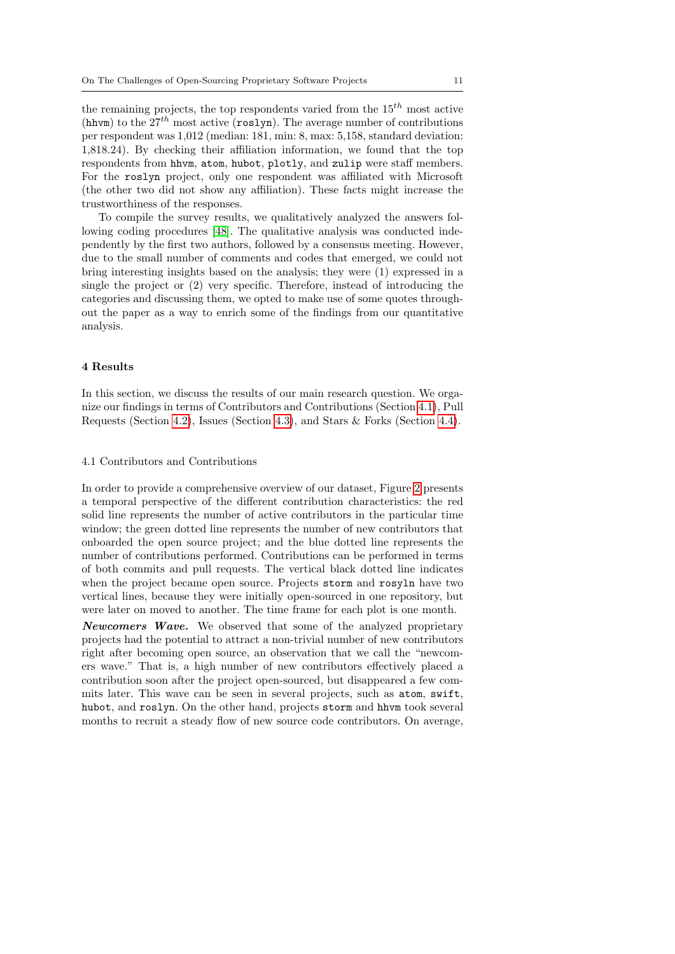the remaining projects, the top respondents varied from the  $15^{th}$  most active (hhvm) to the  $27<sup>th</sup>$  most active (roslyn). The average number of contributions per respondent was 1,012 (median: 181, min: 8, max: 5,158, standard deviation: 1,818.24). By checking their affiliation information, we found that the top respondents from hhvm, atom, hubot, plotly, and zulip were staff members. For the roslyn project, only one respondent was affiliated with Microsoft (the other two did not show any affiliation). These facts might increase the trustworthiness of the responses.

To compile the survey results, we qualitatively analyzed the answers following coding procedures [\[48\]](#page-27-4). The qualitative analysis was conducted independently by the first two authors, followed by a consensus meeting. However, due to the small number of comments and codes that emerged, we could not bring interesting insights based on the analysis; they were (1) expressed in a single the project or (2) very specific. Therefore, instead of introducing the categories and discussing them, we opted to make use of some quotes throughout the paper as a way to enrich some of the findings from our quantitative analysis.

# <span id="page-10-0"></span>4 Results

In this section, we discuss the results of our main research question. We organize our findings in terms of Contributors and Contributions (Section [4.1\)](#page-10-1), Pull Requests (Section [4.2\)](#page-14-0), Issues (Section [4.3\)](#page-17-0), and Stars & Forks (Section [4.4\)](#page-18-0).

## <span id="page-10-1"></span>4.1 Contributors and Contributions

In order to provide a comprehensive overview of our dataset, Figure [2](#page-11-0) presents a temporal perspective of the different contribution characteristics: the red solid line represents the number of active contributors in the particular time window; the green dotted line represents the number of new contributors that onboarded the open source project; and the blue dotted line represents the number of contributions performed. Contributions can be performed in terms of both commits and pull requests. The vertical black dotted line indicates when the project became open source. Projects storm and rosyln have two vertical lines, because they were initially open-sourced in one repository, but were later on moved to another. The time frame for each plot is one month.

Newcomers Wave. We observed that some of the analyzed proprietary projects had the potential to attract a non-trivial number of new contributors right after becoming open source, an observation that we call the "newcomers wave." That is, a high number of new contributors effectively placed a contribution soon after the project open-sourced, but disappeared a few commits later. This wave can be seen in several projects, such as atom, swift, hubot, and roslyn. On the other hand, projects storm and hhvm took several months to recruit a steady flow of new source code contributors. On average,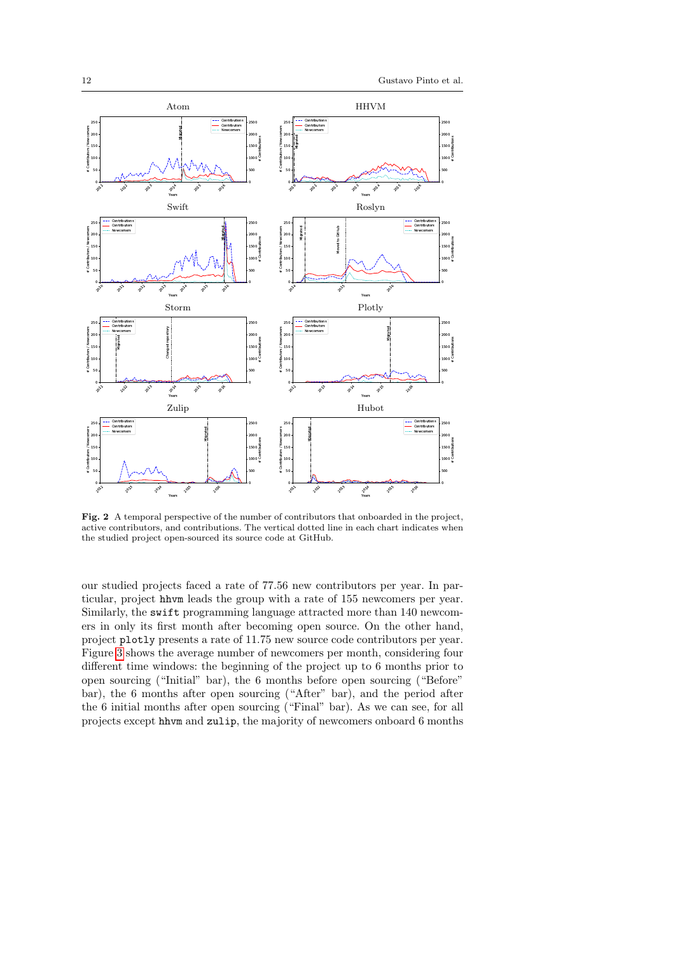

<span id="page-11-0"></span>Fig. 2 A temporal perspective of the number of contributors that onboarded in the project, active contributors, and contributions. The vertical dotted line in each chart indicates when the studied project open-sourced its source code at GitHub.

our studied projects faced a rate of 77.56 new contributors per year. In particular, project hhvm leads the group with a rate of 155 newcomers per year. Similarly, the swift programming language attracted more than 140 newcomers in only its first month after becoming open source. On the other hand, project plotly presents a rate of 11.75 new source code contributors per year. Figure [3](#page-12-0) shows the average number of newcomers per month, considering four different time windows: the beginning of the project up to 6 months prior to open sourcing ("Initial" bar), the 6 months before open sourcing ("Before" bar), the 6 months after open sourcing ("After" bar), and the period after the 6 initial months after open sourcing ("Final" bar). As we can see, for all projects except hhvm and zulip, the majority of newcomers onboard 6 months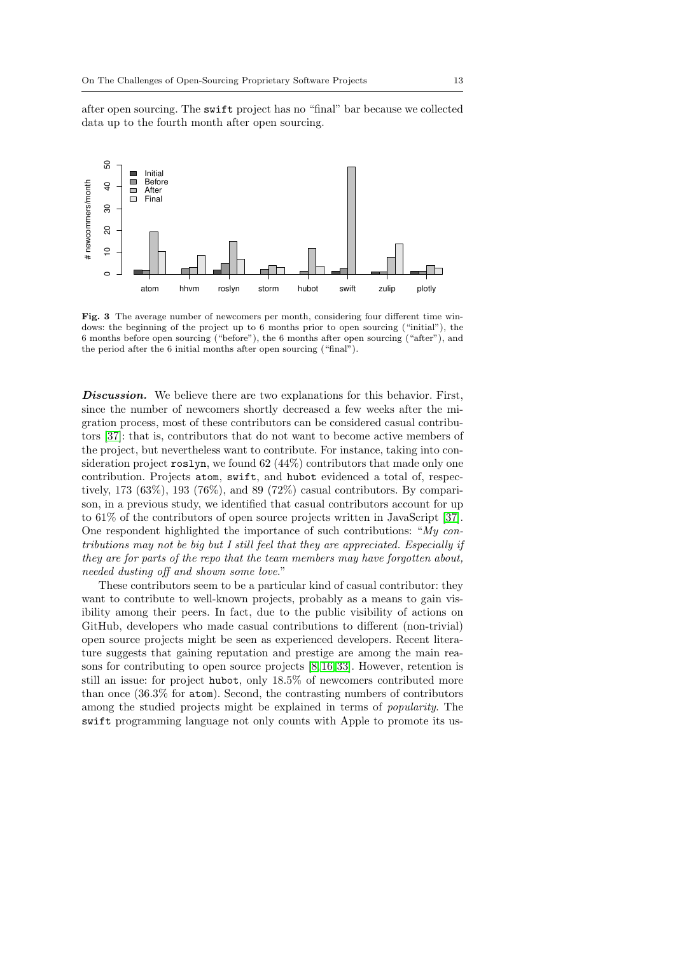after open sourcing. The swift project has no "final" bar because we collected data up to the fourth month after open sourcing.



<span id="page-12-0"></span>Fig. 3 The average number of newcomers per month, considering four different time windows: the beginning of the project up to 6 months prior to open sourcing ("initial"), the 6 months before open sourcing ("before"), the 6 months after open sourcing ("after"), and the period after the 6 initial months after open sourcing ("final").

**Discussion.** We believe there are two explanations for this behavior. First, since the number of newcomers shortly decreased a few weeks after the migration process, most of these contributors can be considered casual contributors [\[37\]](#page-26-2): that is, contributors that do not want to become active members of the project, but nevertheless want to contribute. For instance, taking into consideration project roslyn, we found 62 (44%) contributors that made only one contribution. Projects atom, swift, and hubot evidenced a total of, respectively, 173  $(63\%)$ , 193  $(76\%)$ , and 89  $(72\%)$  casual contributors. By comparison, in a previous study, we identified that casual contributors account for up to 61% of the contributors of open source projects written in JavaScript [\[37\]](#page-26-2). One respondent highlighted the importance of such contributions: " $My$  contributions may not be big but I still feel that they are appreciated. Especially if they are for parts of the repo that the team members may have forgotten about, needed dusting off and shown some love."

These contributors seem to be a particular kind of casual contributor: they want to contribute to well-known projects, probably as a means to gain visibility among their peers. In fact, due to the public visibility of actions on GitHub, developers who made casual contributions to different (non-trivial) open source projects might be seen as experienced developers. Recent literature suggests that gaining reputation and prestige are among the main reasons for contributing to open source projects [\[8,](#page-25-3) [16,](#page-25-17) [33\]](#page-26-13). However, retention is still an issue: for project hubot, only 18.5% of newcomers contributed more than once (36.3% for atom). Second, the contrasting numbers of contributors among the studied projects might be explained in terms of popularity. The swift programming language not only counts with Apple to promote its us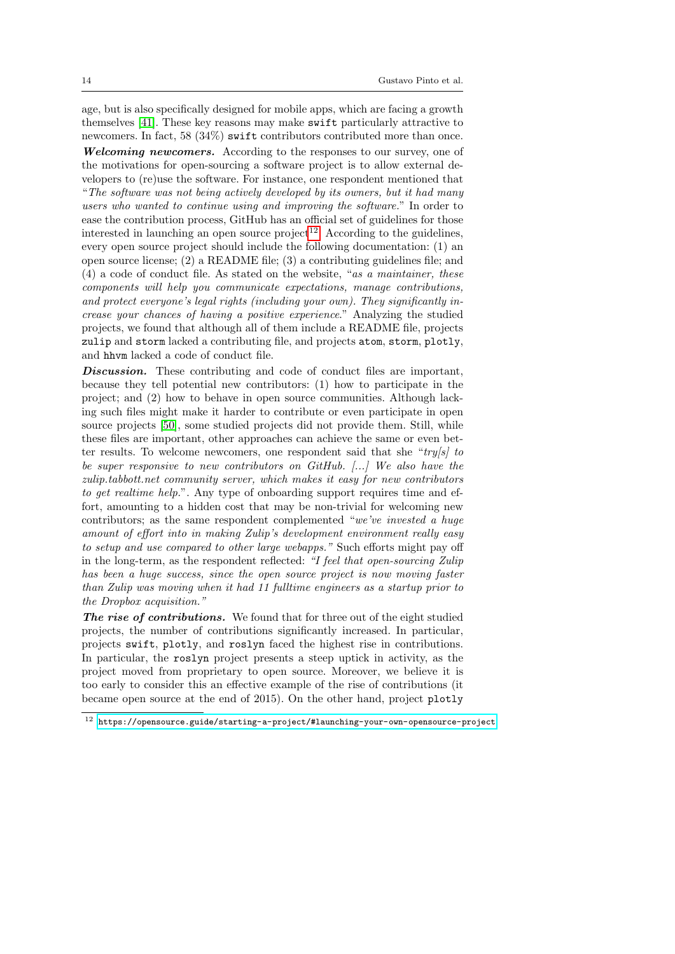age, but is also specifically designed for mobile apps, which are facing a growth themselves [\[41\]](#page-26-14). These key reasons may make swift particularly attractive to newcomers. In fact, 58 (34%) swift contributors contributed more than once.

Welcoming newcomers. According to the responses to our survey, one of the motivations for open-sourcing a software project is to allow external developers to (re)use the software. For instance, one respondent mentioned that "The software was not being actively developed by its owners, but it had many users who wanted to continue using and improving the software." In order to ease the contribution process, GitHub has an official set of guidelines for those interested in launching an open source project<sup>[12](#page-13-0)</sup>. According to the guidelines, every open source project should include the following documentation: (1) an open source license; (2) a README file; (3) a contributing guidelines file; and (4) a code of conduct file. As stated on the website, "as a maintainer, these components will help you communicate expectations, manage contributions, and protect everyone's legal rights (including your own). They significantly increase your chances of having a positive experience." Analyzing the studied projects, we found that although all of them include a README file, projects zulip and storm lacked a contributing file, and projects atom, storm, plotly, and hhvm lacked a code of conduct file.

Discussion. These contributing and code of conduct files are important, because they tell potential new contributors: (1) how to participate in the project; and (2) how to behave in open source communities. Although lacking such files might make it harder to contribute or even participate in open source projects [\[50\]](#page-27-5), some studied projects did not provide them. Still, while these files are important, other approaches can achieve the same or even better results. To welcome newcomers, one respondent said that she " $try/s$  to be super responsive to new contributors on GitHub. [...] We also have the zulip.tabbott.net community server, which makes it easy for new contributors to get realtime help.". Any type of onboarding support requires time and effort, amounting to a hidden cost that may be non-trivial for welcoming new contributors; as the same respondent complemented "we've invested a huge amount of effort into in making Zulip's development environment really easy to setup and use compared to other large webapps." Such efforts might pay off in the long-term, as the respondent reflected: "I feel that open-sourcing Zulip has been a huge success, since the open source project is now moving faster than Zulip was moving when it had 11 fulltime engineers as a startup prior to the Dropbox acquisition."

The rise of contributions. We found that for three out of the eight studied projects, the number of contributions significantly increased. In particular, projects swift, plotly, and roslyn faced the highest rise in contributions. In particular, the roslyn project presents a steep uptick in activity, as the project moved from proprietary to open source. Moreover, we believe it is too early to consider this an effective example of the rise of contributions (it became open source at the end of 2015). On the other hand, project plotly

<span id="page-13-0"></span> $^{\rm 12}$ [https://opensource.guide/starting-a-project/#launching-your-own-opensource-project](https://opensource.guide/starting-a-project/#launching-your-own-open source-project)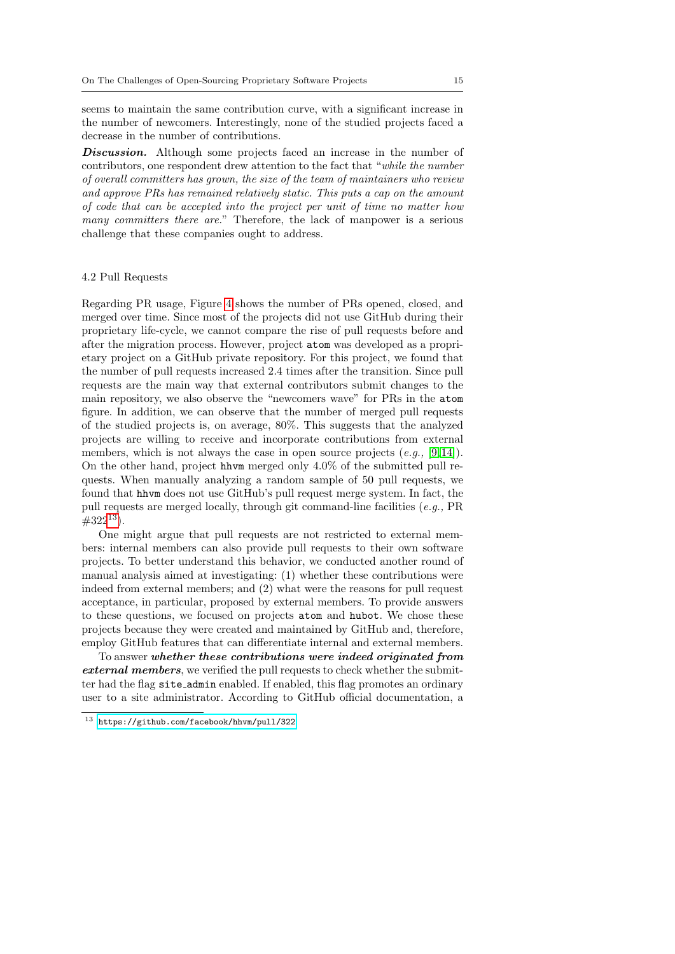seems to maintain the same contribution curve, with a significant increase in the number of newcomers. Interestingly, none of the studied projects faced a decrease in the number of contributions.

**Discussion.** Although some projects faced an increase in the number of contributors, one respondent drew attention to the fact that "while the number of overall committers has grown, the size of the team of maintainers who review and approve PRs has remained relatively static. This puts a cap on the amount of code that can be accepted into the project per unit of time no matter how many committers there are." Therefore, the lack of manpower is a serious challenge that these companies ought to address.

## <span id="page-14-0"></span>4.2 Pull Requests

Regarding PR usage, Figure [4](#page-15-0) shows the number of PRs opened, closed, and merged over time. Since most of the projects did not use GitHub during their proprietary life-cycle, we cannot compare the rise of pull requests before and after the migration process. However, project atom was developed as a proprietary project on a GitHub private repository. For this project, we found that the number of pull requests increased 2.4 times after the transition. Since pull requests are the main way that external contributors submit changes to the main repository, we also observe the "newcomers wave" for PRs in the atom figure. In addition, we can observe that the number of merged pull requests of the studied projects is, on average, 80%. This suggests that the analyzed projects are willing to receive and incorporate contributions from external members, which is not always the case in open source projects  $(e.g., [9, 14])$  $(e.g., [9, 14])$  $(e.g., [9, 14])$  $(e.g., [9, 14])$ . On the other hand, project hhvm merged only 4.0% of the submitted pull requests. When manually analyzing a random sample of 50 pull requests, we found that hhvm does not use GitHub's pull request merge system. In fact, the pull requests are merged locally, through git command-line facilities (e.g., PR  $\#322^{13}$  $\#322^{13}$  $\#322^{13}$ ).

One might argue that pull requests are not restricted to external members: internal members can also provide pull requests to their own software projects. To better understand this behavior, we conducted another round of manual analysis aimed at investigating: (1) whether these contributions were indeed from external members; and (2) what were the reasons for pull request acceptance, in particular, proposed by external members. To provide answers to these questions, we focused on projects atom and hubot. We chose these projects because they were created and maintained by GitHub and, therefore, employ GitHub features that can differentiate internal and external members.

To answer whether these contributions were indeed originated from external members, we verified the pull requests to check whether the submitter had the flag site admin enabled. If enabled, this flag promotes an ordinary user to a site administrator. According to GitHub official documentation, a

<span id="page-14-1"></span><sup>13</sup> <https://github.com/facebook/hhvm/pull/322>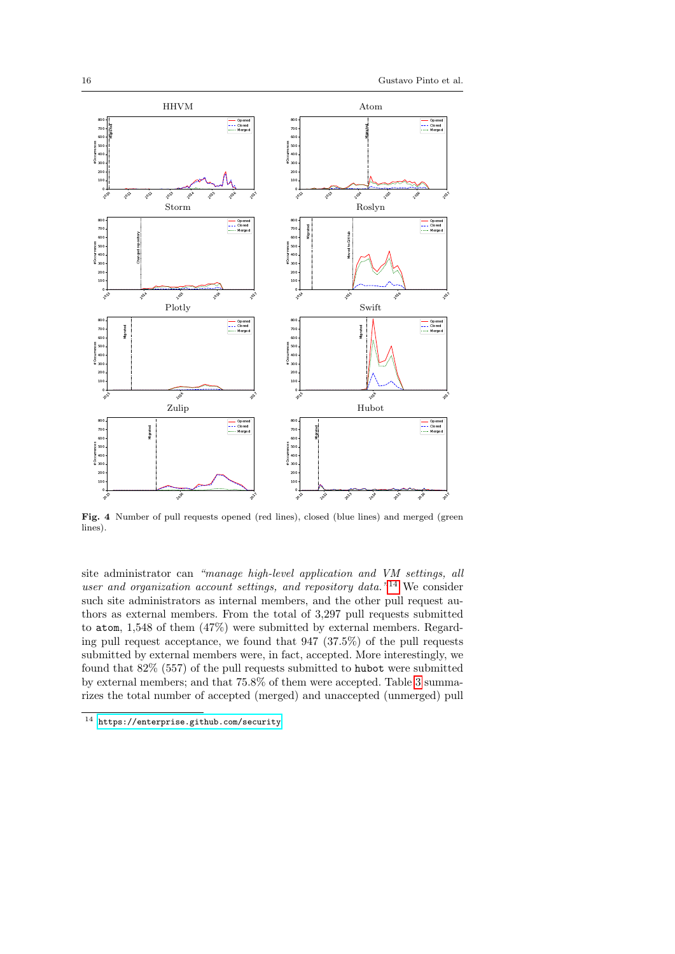

<span id="page-15-0"></span>Fig. 4 Number of pull requests opened (red lines), closed (blue lines) and merged (green lines).

site administrator can "manage high-level application and VM settings, all user and organization account settings, and repository data."[14](#page-15-1) We consider such site administrators as internal members, and the other pull request authors as external members. From the total of 3,297 pull requests submitted to atom, 1,548 of them (47%) were submitted by external members. Regarding pull request acceptance, we found that 947 (37.5%) of the pull requests submitted by external members were, in fact, accepted. More interestingly, we found that 82% (557) of the pull requests submitted to hubot were submitted by external members; and that 75.8% of them were accepted. Table [3](#page-16-0) summarizes the total number of accepted (merged) and unaccepted (unmerged) pull

<span id="page-15-1"></span><sup>14</sup> <https://enterprise.github.com/security>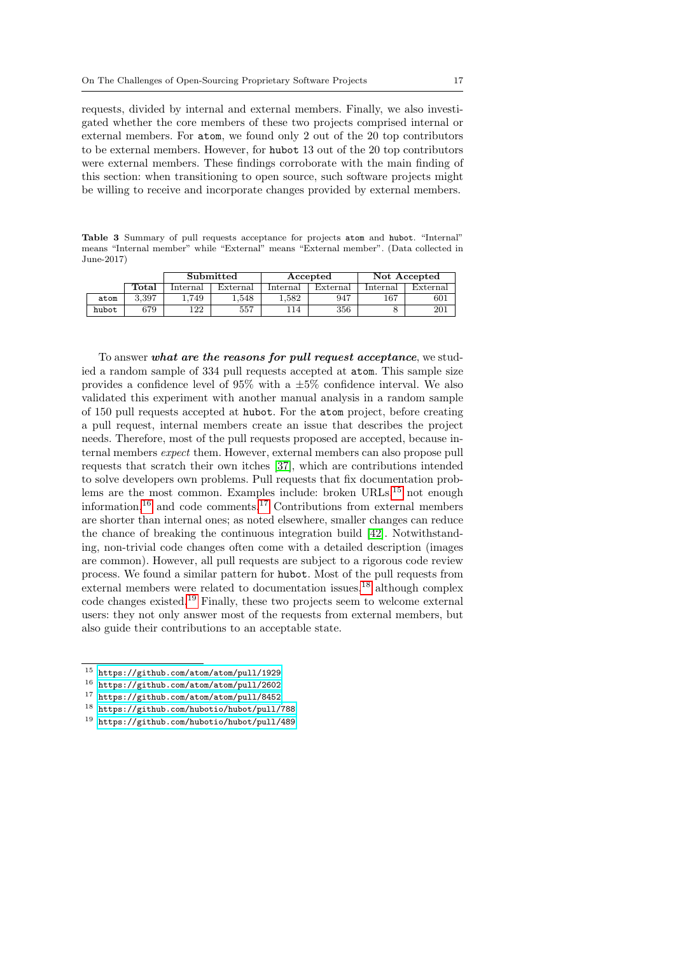requests, divided by internal and external members. Finally, we also investigated whether the core members of these two projects comprised internal or external members. For atom, we found only 2 out of the 20 top contributors to be external members. However, for hubot 13 out of the 20 top contributors were external members. These findings corroborate with the main finding of this section: when transitioning to open source, such software projects might be willing to receive and incorporate changes provided by external members.

<span id="page-16-0"></span>Table 3 Summary of pull requests acceptance for projects atom and hubot. "Internal" means "Internal member" while "External" means "External member". (Data collected in June-2017)

|       |       | Submitted |          |          | Accepted | Not Accepted |          |
|-------|-------|-----------|----------|----------|----------|--------------|----------|
|       | Total | Internal  | External | Internal | External | Internal     | External |
| atom  | 3.397 | 1.749     | 1.548    | 1.582    | 947      | 167          | 601      |
| hubot | 679   | 122       | 557      | 114      | 356      |              | 201      |

To answer what are the reasons for pull request acceptance, we studied a random sample of 334 pull requests accepted at atom. This sample size provides a confidence level of 95% with a  $\pm 5\%$  confidence interval. We also validated this experiment with another manual analysis in a random sample of 150 pull requests accepted at hubot. For the atom project, before creating a pull request, internal members create an issue that describes the project needs. Therefore, most of the pull requests proposed are accepted, because internal members expect them. However, external members can also propose pull requests that scratch their own itches [\[37\]](#page-26-2), which are contributions intended to solve developers own problems. Pull requests that fix documentation prob-lems are the most common. Examples include: broken URLs,<sup>[15](#page-16-1)</sup> not enough information,<sup>[16](#page-16-2)</sup> and code comments.<sup>[17](#page-16-3)</sup> Contributions from external members are shorter than internal ones; as noted elsewhere, smaller changes can reduce the chance of breaking the continuous integration build [\[42\]](#page-26-15). Notwithstanding, non-trivial code changes often come with a detailed description (images are common). However, all pull requests are subject to a rigorous code review process. We found a similar pattern for hubot. Most of the pull requests from external members were related to documentation issues, $^{18}$  $^{18}$  $^{18}$  although complex code changes existed.[19](#page-16-5) Finally, these two projects seem to welcome external users: they not only answer most of the requests from external members, but also guide their contributions to an acceptable state.

<span id="page-16-1"></span><sup>15</sup> <https://github.com/atom/atom/pull/1929>

<span id="page-16-2"></span><sup>16</sup> <https://github.com/atom/atom/pull/2602>

<span id="page-16-3"></span><sup>17</sup> <https://github.com/atom/atom/pull/8452>

<span id="page-16-4"></span><sup>18</sup> <https://github.com/hubotio/hubot/pull/788>

<span id="page-16-5"></span><sup>19</sup> <https://github.com/hubotio/hubot/pull/489>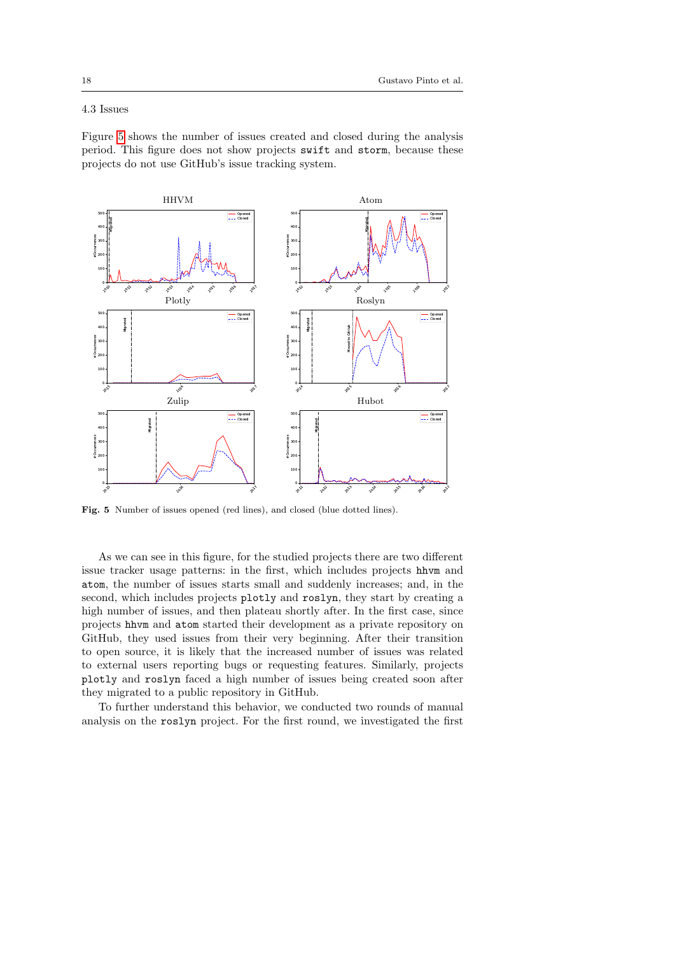# <span id="page-17-0"></span>4.3 Issues

Figure [5](#page-17-1) shows the number of issues created and closed during the analysis period. This figure does not show projects swift and storm, because these projects do not use GitHub's issue tracking system.



<span id="page-17-1"></span>Fig. 5 Number of issues opened (red lines), and closed (blue dotted lines).

As we can see in this figure, for the studied projects there are two different issue tracker usage patterns: in the first, which includes projects hhvm and atom, the number of issues starts small and suddenly increases; and, in the second, which includes projects plotly and roslyn, they start by creating a high number of issues, and then plateau shortly after. In the first case, since projects hhvm and atom started their development as a private repository on GitHub, they used issues from their very beginning. After their transition to open source, it is likely that the increased number of issues was related to external users reporting bugs or requesting features. Similarly, projects plotly and roslyn faced a high number of issues being created soon after they migrated to a public repository in GitHub.

To further understand this behavior, we conducted two rounds of manual analysis on the roslyn project. For the first round, we investigated the first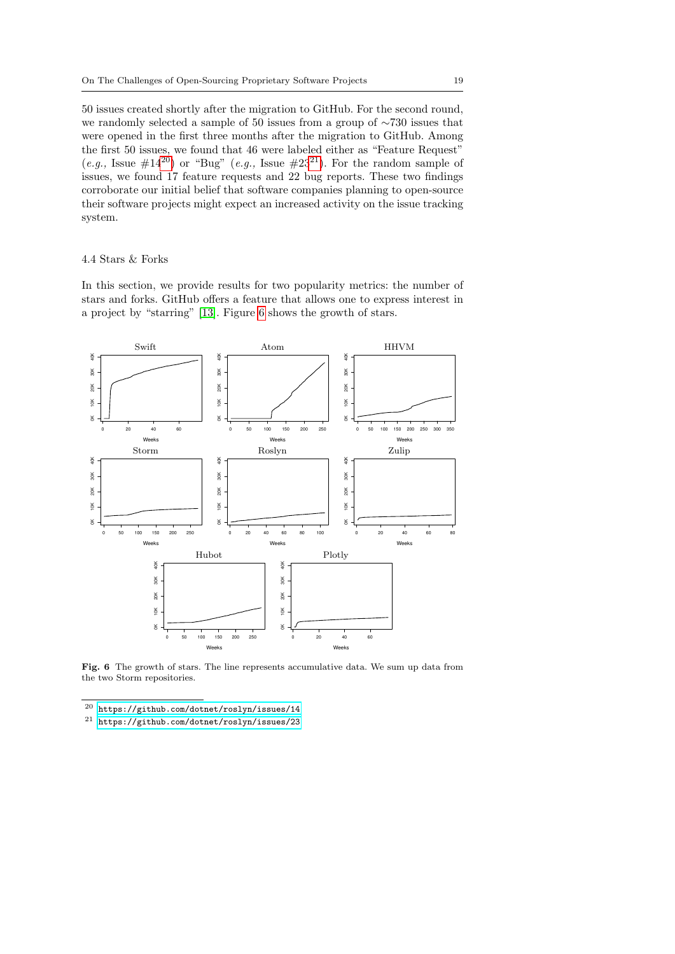50 issues created shortly after the migration to GitHub. For the second round, we randomly selected a sample of 50 issues from a group of ∼730 issues that were opened in the first three months after the migration to GitHub. Among the first 50 issues, we found that 46 were labeled either as "Feature Request" (e.g., Issue  $\#14^{20}$  $\#14^{20}$  $\#14^{20}$ ) or "Bug" (e.g., Issue  $\#23^{21}$  $\#23^{21}$  $\#23^{21}$ ). For the random sample of issues, we found 17 feature requests and 22 bug reports. These two findings corroborate our initial belief that software companies planning to open-source their software projects might expect an increased activity on the issue tracking system.

## <span id="page-18-0"></span>4.4 Stars & Forks

In this section, we provide results for two popularity metrics: the number of stars and forks. GitHub offers a feature that allows one to express interest in a project by "starring" [\[13\]](#page-25-18). Figure [6](#page-18-3) shows the growth of stars.



<span id="page-18-3"></span>Fig. 6 The growth of stars. The line represents accumulative data. We sum up data from the two Storm repositories.

<span id="page-18-1"></span><sup>20</sup> <https://github.com/dotnet/roslyn/issues/14>

<span id="page-18-2"></span> $^{21}$ <https://github.com/dotnet/roslyn/issues/23>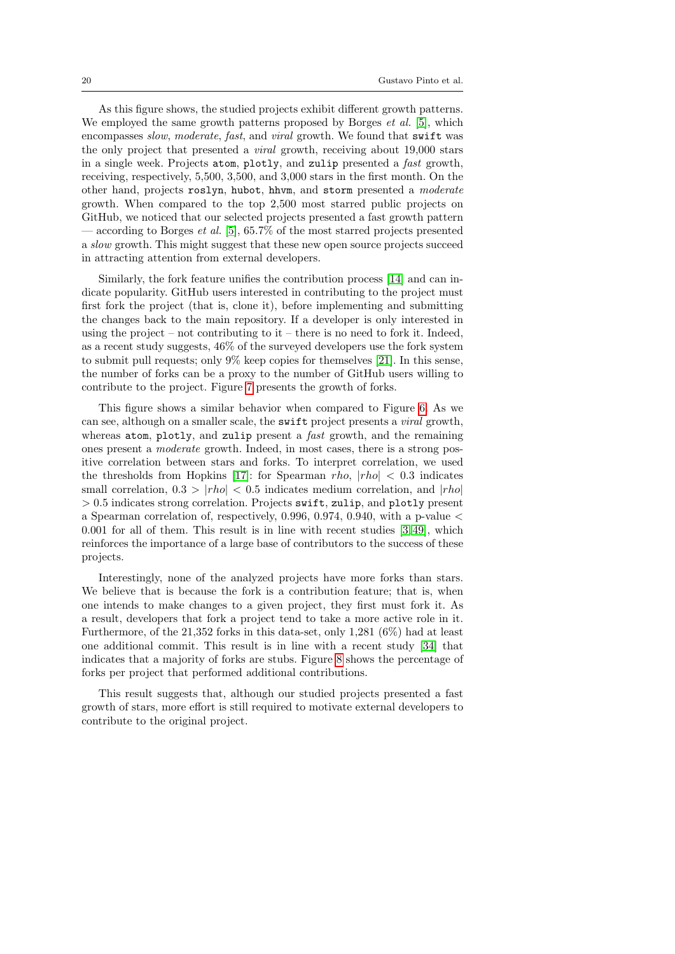As this figure shows, the studied projects exhibit different growth patterns. We employed the same growth patterns proposed by Borges *et al.* [\[5\]](#page-24-4), which encompasses slow, moderate, fast, and viral growth. We found that swift was the only project that presented a viral growth, receiving about 19,000 stars in a single week. Projects atom, plotly, and zulip presented a fast growth, receiving, respectively, 5,500, 3,500, and 3,000 stars in the first month. On the other hand, projects roslyn, hubot, hhvm, and storm presented a moderate growth. When compared to the top 2,500 most starred public projects on GitHub, we noticed that our selected projects presented a fast growth pattern — according to Borges *et al.* [\[5\]](#page-24-4), 65.7% of the most starred projects presented a slow growth. This might suggest that these new open source projects succeed in attracting attention from external developers.

Similarly, the fork feature unifies the contribution process [\[14\]](#page-25-6) and can indicate popularity. GitHub users interested in contributing to the project must first fork the project (that is, clone it), before implementing and submitting the changes back to the main repository. If a developer is only interested in using the project – not contributing to  $i$  – there is no need to fork it. Indeed, as a recent study suggests, 46% of the surveyed developers use the fork system to submit pull requests; only 9% keep copies for themselves [\[21\]](#page-25-19). In this sense, the number of forks can be a proxy to the number of GitHub users willing to contribute to the project. Figure [7](#page-20-0) presents the growth of forks.

This figure shows a similar behavior when compared to Figure [6.](#page-18-3) As we can see, although on a smaller scale, the swift project presents a viral growth, whereas atom, plotly, and zulip present a *fast* growth, and the remaining ones present a moderate growth. Indeed, in most cases, there is a strong positive correlation between stars and forks. To interpret correlation, we used the thresholds from Hopkins [\[17\]](#page-25-20): for Spearman rho,  $|rho| < 0.3$  indicates small correlation,  $0.3 > |rho| < 0.5$  indicates medium correlation, and  $|rho|$  $> 0.5$  indicates strong correlation. Projects swift, zulip, and plotly present a Spearman correlation of, respectively,  $0.996, 0.974, 0.940$ , with a p-value  $\lt$ 0.001 for all of them. This result is in line with recent studies [\[3,](#page-24-1) [49\]](#page-27-6), which reinforces the importance of a large base of contributors to the success of these projects.

Interestingly, none of the analyzed projects have more forks than stars. We believe that is because the fork is a contribution feature; that is, when one intends to make changes to a given project, they first must fork it. As a result, developers that fork a project tend to take a more active role in it. Furthermore, of the 21,352 forks in this data-set, only 1,281 (6%) had at least one additional commit. This result is in line with a recent study [\[34\]](#page-26-16) that indicates that a majority of forks are stubs. Figure [8](#page-21-0) shows the percentage of forks per project that performed additional contributions.

This result suggests that, although our studied projects presented a fast growth of stars, more effort is still required to motivate external developers to contribute to the original project.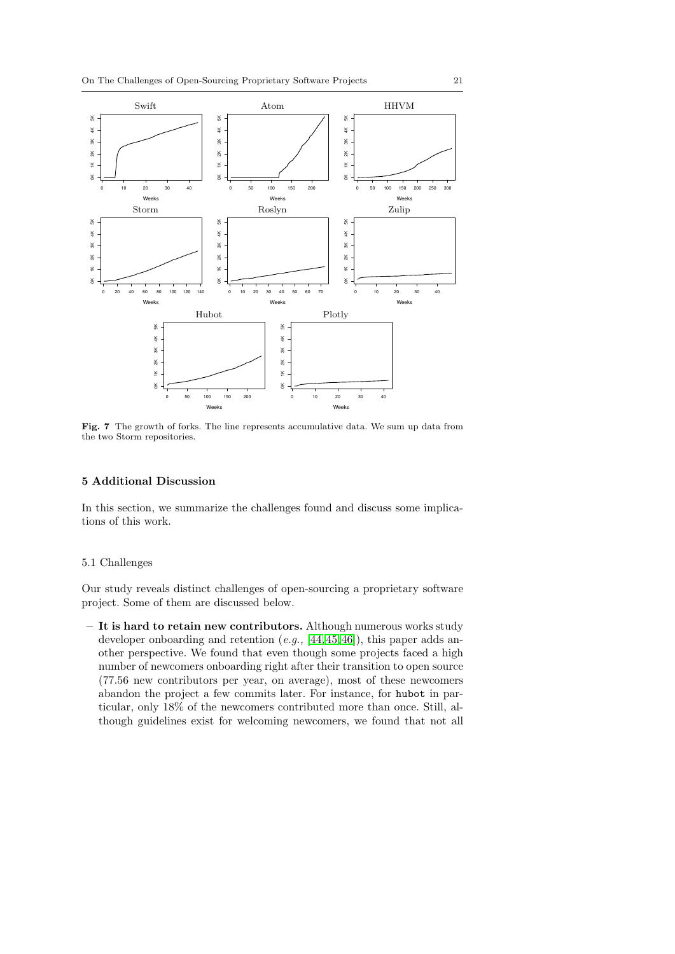

<span id="page-20-0"></span>Fig. 7 The growth of forks. The line represents accumulative data. We sum up data from the two Storm repositories.

# 5 Additional Discussion

In this section, we summarize the challenges found and discuss some implications of this work.

#### 5.1 Challenges

Our study reveals distinct challenges of open-sourcing a proprietary software project. Some of them are discussed below.

– It is hard to retain new contributors. Although numerous works study developer onboarding and retention  $(e.g., [44,45,46])$  $(e.g., [44,45,46])$  $(e.g., [44,45,46])$ , this paper adds another perspective. We found that even though some projects faced a high number of newcomers onboarding right after their transition to open source (77.56 new contributors per year, on average), most of these newcomers abandon the project a few commits later. For instance, for hubot in particular, only 18% of the newcomers contributed more than once. Still, although guidelines exist for welcoming newcomers, we found that not all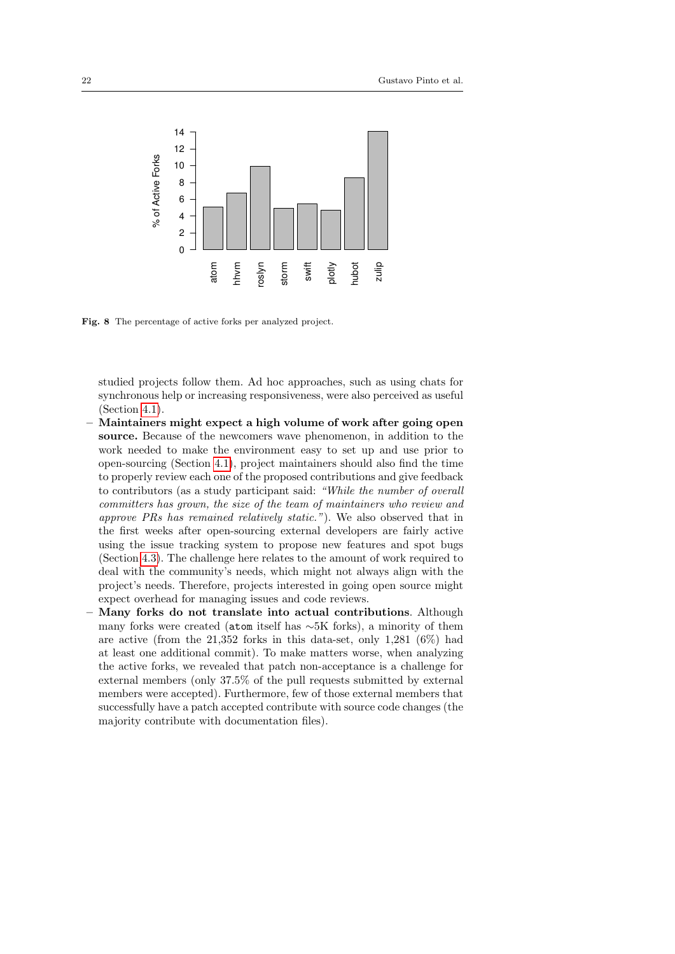

<span id="page-21-0"></span>Fig. 8 The percentage of active forks per analyzed project.

studied projects follow them. Ad hoc approaches, such as using chats for synchronous help or increasing responsiveness, were also perceived as useful (Section [4.1\)](#page-10-1).

- Maintainers might expect a high volume of work after going open source. Because of the newcomers wave phenomenon, in addition to the work needed to make the environment easy to set up and use prior to open-sourcing (Section [4.1\)](#page-10-1), project maintainers should also find the time to properly review each one of the proposed contributions and give feedback to contributors (as a study participant said: "While the number of overall committers has grown, the size of the team of maintainers who review and approve PRs has remained relatively static."). We also observed that in the first weeks after open-sourcing external developers are fairly active using the issue tracking system to propose new features and spot bugs (Section [4.3\)](#page-17-0). The challenge here relates to the amount of work required to deal with the community's needs, which might not always align with the project's needs. Therefore, projects interested in going open source might expect overhead for managing issues and code reviews.
- Many forks do not translate into actual contributions. Although many forks were created (atom itself has ∼5K forks), a minority of them are active (from the 21,352 forks in this data-set, only 1,281 ( $6\%$ ) had at least one additional commit). To make matters worse, when analyzing the active forks, we revealed that patch non-acceptance is a challenge for external members (only 37.5% of the pull requests submitted by external members were accepted). Furthermore, few of those external members that successfully have a patch accepted contribute with source code changes (the majority contribute with documentation files).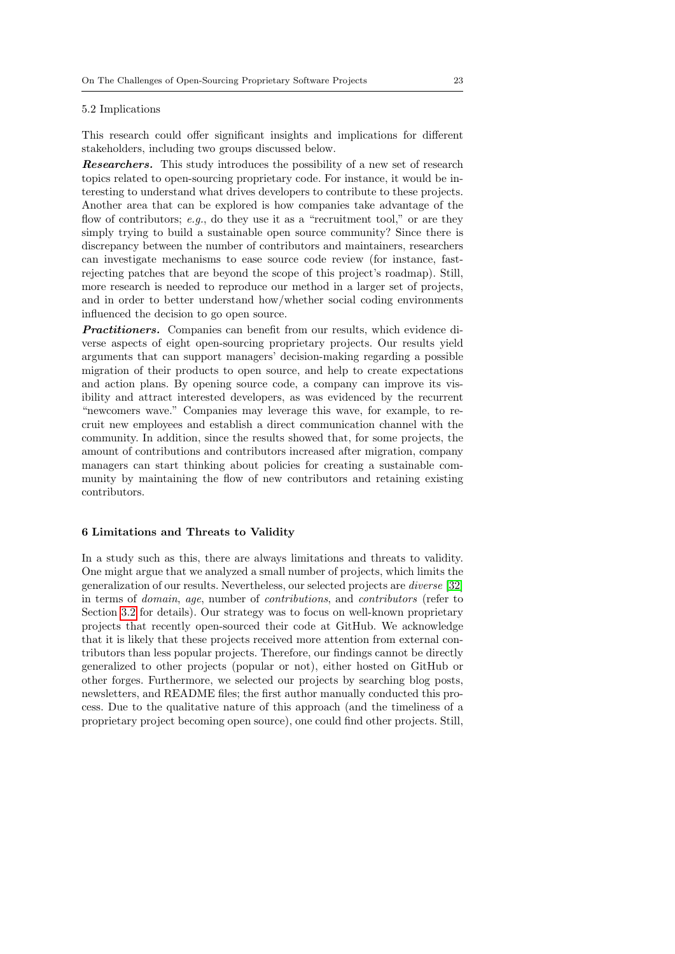#### 5.2 Implications

This research could offer significant insights and implications for different stakeholders, including two groups discussed below.

Researchers. This study introduces the possibility of a new set of research topics related to open-sourcing proprietary code. For instance, it would be interesting to understand what drives developers to contribute to these projects. Another area that can be explored is how companies take advantage of the flow of contributors; e.g., do they use it as a "recruitment tool," or are they simply trying to build a sustainable open source community? Since there is discrepancy between the number of contributors and maintainers, researchers can investigate mechanisms to ease source code review (for instance, fastrejecting patches that are beyond the scope of this project's roadmap). Still, more research is needed to reproduce our method in a larger set of projects, and in order to better understand how/whether social coding environments influenced the decision to go open source.

Practitioners. Companies can benefit from our results, which evidence diverse aspects of eight open-sourcing proprietary projects. Our results yield arguments that can support managers' decision-making regarding a possible migration of their products to open source, and help to create expectations and action plans. By opening source code, a company can improve its visibility and attract interested developers, as was evidenced by the recurrent "newcomers wave." Companies may leverage this wave, for example, to recruit new employees and establish a direct communication channel with the community. In addition, since the results showed that, for some projects, the amount of contributions and contributors increased after migration, company managers can start thinking about policies for creating a sustainable community by maintaining the flow of new contributors and retaining existing contributors.

## <span id="page-22-0"></span>6 Limitations and Threats to Validity

In a study such as this, there are always limitations and threats to validity. One might argue that we analyzed a small number of projects, which limits the generalization of our results. Nevertheless, our selected projects are diverse [\[32\]](#page-26-12) in terms of domain, age, number of contributions, and contributors (refer to Section [3.2](#page-5-0) for details). Our strategy was to focus on well-known proprietary projects that recently open-sourced their code at GitHub. We acknowledge that it is likely that these projects received more attention from external contributors than less popular projects. Therefore, our findings cannot be directly generalized to other projects (popular or not), either hosted on GitHub or other forges. Furthermore, we selected our projects by searching blog posts, newsletters, and README files; the first author manually conducted this process. Due to the qualitative nature of this approach (and the timeliness of a proprietary project becoming open source), one could find other projects. Still,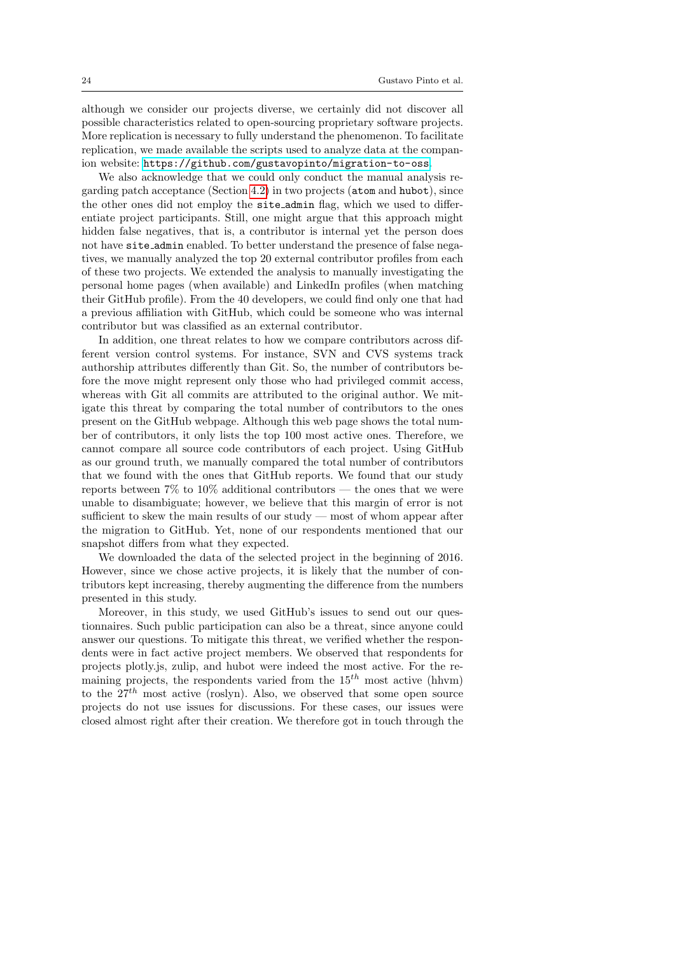although we consider our projects diverse, we certainly did not discover all possible characteristics related to open-sourcing proprietary software projects. More replication is necessary to fully understand the phenomenon. To facilitate replication, we made available the scripts used to analyze data at the companion website: <https://github.com/gustavopinto/migration-to-oss>.

We also acknowledge that we could only conduct the manual analysis regarding patch acceptance (Section [4.2\)](#page-14-0) in two projects (atom and hubot), since the other ones did not employ the site admin flag, which we used to differentiate project participants. Still, one might argue that this approach might hidden false negatives, that is, a contributor is internal yet the person does not have site admin enabled. To better understand the presence of false negatives, we manually analyzed the top 20 external contributor profiles from each of these two projects. We extended the analysis to manually investigating the personal home pages (when available) and LinkedIn profiles (when matching their GitHub profile). From the 40 developers, we could find only one that had a previous affiliation with GitHub, which could be someone who was internal contributor but was classified as an external contributor.

In addition, one threat relates to how we compare contributors across different version control systems. For instance, SVN and CVS systems track authorship attributes differently than Git. So, the number of contributors before the move might represent only those who had privileged commit access, whereas with Git all commits are attributed to the original author. We mitigate this threat by comparing the total number of contributors to the ones present on the GitHub webpage. Although this web page shows the total number of contributors, it only lists the top 100 most active ones. Therefore, we cannot compare all source code contributors of each project. Using GitHub as our ground truth, we manually compared the total number of contributors that we found with the ones that GitHub reports. We found that our study reports between  $7\%$  to  $10\%$  additional contributors — the ones that we were unable to disambiguate; however, we believe that this margin of error is not sufficient to skew the main results of our study — most of whom appear after the migration to GitHub. Yet, none of our respondents mentioned that our snapshot differs from what they expected.

We downloaded the data of the selected project in the beginning of 2016. However, since we chose active projects, it is likely that the number of contributors kept increasing, thereby augmenting the difference from the numbers presented in this study.

Moreover, in this study, we used GitHub's issues to send out our questionnaires. Such public participation can also be a threat, since anyone could answer our questions. To mitigate this threat, we verified whether the respondents were in fact active project members. We observed that respondents for projects plotly.js, zulip, and hubot were indeed the most active. For the remaining projects, the respondents varied from the  $15^{th}$  most active (hhvm) to the  $27<sup>th</sup>$  most active (roslyn). Also, we observed that some open source projects do not use issues for discussions. For these cases, our issues were closed almost right after their creation. We therefore got in touch through the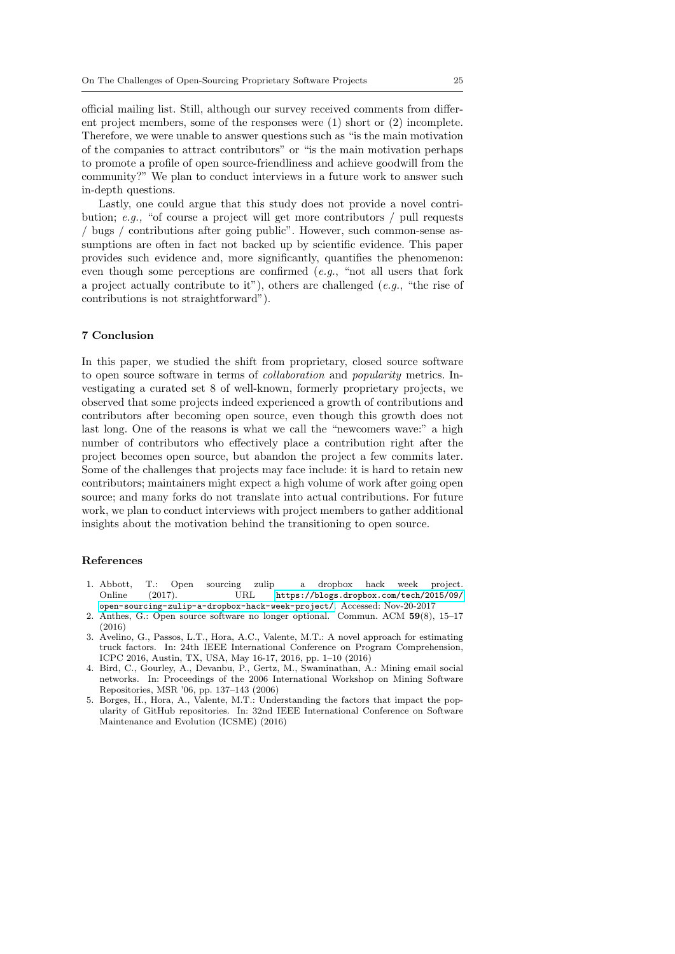official mailing list. Still, although our survey received comments from different project members, some of the responses were (1) short or (2) incomplete. Therefore, we were unable to answer questions such as "is the main motivation of the companies to attract contributors" or "is the main motivation perhaps to promote a profile of open source-friendliness and achieve goodwill from the community?" We plan to conduct interviews in a future work to answer such in-depth questions.

Lastly, one could argue that this study does not provide a novel contribution; e.g., "of course a project will get more contributors / pull requests / bugs / contributions after going public". However, such common-sense assumptions are often in fact not backed up by scientific evidence. This paper provides such evidence and, more significantly, quantifies the phenomenon: even though some perceptions are confirmed  $(e.g., \text{``not all users that fork})$ a project actually contribute to it"), others are challenged  $(e.g., "the rise of$ contributions is not straightforward").

## 7 Conclusion

In this paper, we studied the shift from proprietary, closed source software to open source software in terms of collaboration and popularity metrics. Investigating a curated set 8 of well-known, formerly proprietary projects, we observed that some projects indeed experienced a growth of contributions and contributors after becoming open source, even though this growth does not last long. One of the reasons is what we call the "newcomers wave:" a high number of contributors who effectively place a contribution right after the project becomes open source, but abandon the project a few commits later. Some of the challenges that projects may face include: it is hard to retain new contributors; maintainers might expect a high volume of work after going open source; and many forks do not translate into actual contributions. For future work, we plan to conduct interviews with project members to gather additional insights about the motivation behind the transitioning to open source.

#### References

- <span id="page-24-2"></span>1. Abbott, T.: Open sourcing zulip a dropbox hack week project. Online (2017). URL [https://blogs.dropbox.com/tech/2015/09/](https://blogs.dropbox.com/tech/2015/09/open-sourcing-zulip-a-dropbox-hack-week-project/) [open-sourcing-zulip-a-dropbox-hack-week-project/](https://blogs.dropbox.com/tech/2015/09/open-sourcing-zulip-a-dropbox-hack-week-project/). Accessed: Nov-20-2017
- <span id="page-24-0"></span>2. Anthes, G.: Open source software no longer optional. Commun. ACM 59(8), 15–17 (2016)
- <span id="page-24-1"></span>3. Avelino, G., Passos, L.T., Hora, A.C., Valente, M.T.: A novel approach for estimating truck factors. In: 24th IEEE International Conference on Program Comprehension, ICPC 2016, Austin, TX, USA, May 16-17, 2016, pp. 1–10 (2016)
- <span id="page-24-3"></span>4. Bird, C., Gourley, A., Devanbu, P., Gertz, M., Swaminathan, A.: Mining email social networks. In: Proceedings of the 2006 International Workshop on Mining Software Repositories, MSR '06, pp. 137–143 (2006)
- <span id="page-24-4"></span>5. Borges, H., Hora, A., Valente, M.T.: Understanding the factors that impact the popularity of GitHub repositories. In: 32nd IEEE International Conference on Software Maintenance and Evolution (ICSME) (2016)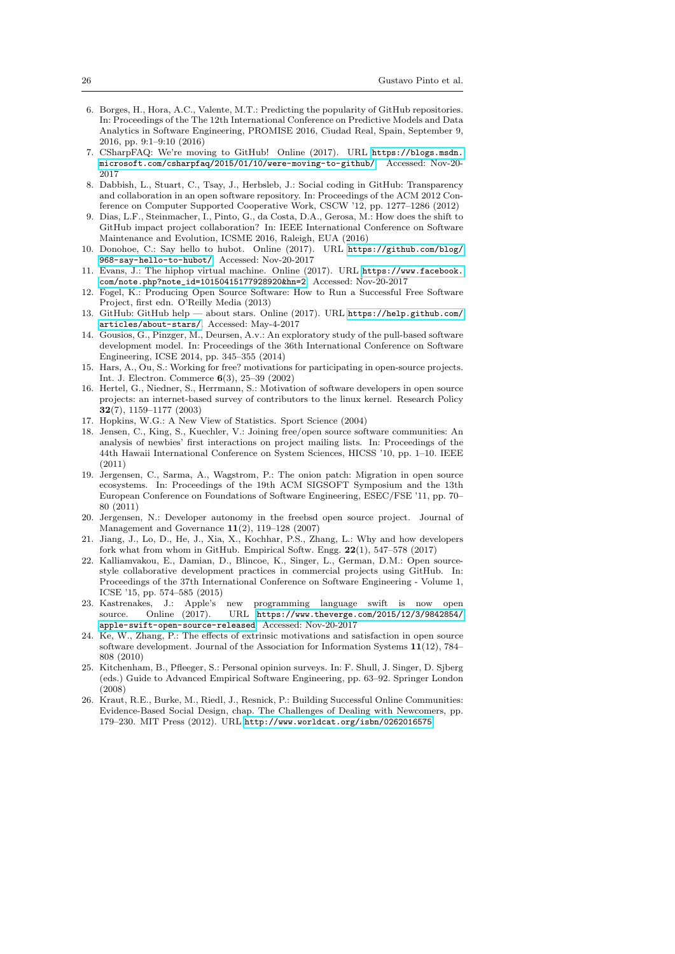- <span id="page-25-5"></span>6. Borges, H., Hora, A.C., Valente, M.T.: Predicting the popularity of GitHub repositories. In: Proceedings of the The 12th International Conference on Predictive Models and Data Analytics in Software Engineering, PROMISE 2016, Ciudad Real, Spain, September 9, 2016, pp. 9:1–9:10 (2016)
- <span id="page-25-14"></span>7. CSharpFAQ: We're moving to GitHub! Online (2017). URL [https://blogs.msdn.](https://blogs.msdn.microsoft.com/csharpfaq/2015/01/10/were-moving-to-github/) [microsoft.com/csharpfaq/2015/01/10/were-moving-to-github/](https://blogs.msdn.microsoft.com/csharpfaq/2015/01/10/were-moving-to-github/). Accessed: Nov-20- 2017
- <span id="page-25-3"></span>8. Dabbish, L., Stuart, C., Tsay, J., Herbsleb, J.: Social coding in GitHub: Transparency and collaboration in an open software repository. In: Proceedings of the ACM 2012 Conference on Computer Supported Cooperative Work, CSCW '12, pp. 1277–1286 (2012)
- <span id="page-25-2"></span>9. Dias, L.F., Steinmacher, I., Pinto, G., da Costa, D.A., Gerosa, M.: How does the shift to GitHub impact project collaboration? In: IEEE International Conference on Software Maintenance and Evolution, ICSME 2016, Raleigh, EUA (2016)
- <span id="page-25-15"></span>10. Donohoe, C.: Say hello to hubot. Online (2017). URL [https://github.com/blog/](https://github.com/blog/968-say-hello-to-hubot/) [968-say-hello-to-hubot/](https://github.com/blog/968-say-hello-to-hubot/). Accessed: Nov-20-2017
- <span id="page-25-12"></span>11. Evans, J.: The hiphop virtual machine. Online (2017). URL [https://www.facebook.](https://www.facebook.com/note.php?note_id=10150415177928920&hn=2) [com/note.php?note\\_id=10150415177928920&hn=2](https://www.facebook.com/note.php?note_id=10150415177928920&hn=2). Accessed: Nov-20-2017
- <span id="page-25-0"></span>12. Fogel, K.: Producing Open Source Software: How to Run a Successful Free Software Project, first edn. O'Reilly Media (2013)
- <span id="page-25-18"></span>13. GitHub: GitHub help — about stars. Online (2017). URL [https://help.github.com/](https://help.github.com/articles/about-stars/) [articles/about-stars/](https://help.github.com/articles/about-stars/). Accessed: May-4-2017
- <span id="page-25-6"></span>14. Gousios, G., Pinzger, M., Deursen, A.v.: An exploratory study of the pull-based software development model. In: Proceedings of the 36th International Conference on Software Engineering, ICSE 2014, pp. 345–355 (2014)
- <span id="page-25-4"></span>15. Hars, A., Ou, S.: Working for free? motivations for participating in open-source projects. Int. J. Electron. Commerce 6(3), 25–39 (2002)
- <span id="page-25-17"></span>16. Hertel, G., Niedner, S., Herrmann, S.: Motivation of software developers in open source projects: an internet-based survey of contributors to the linux kernel. Research Policy 32(7), 1159–1177 (2003)
- <span id="page-25-20"></span>17. Hopkins, W.G.: A New View of Statistics. Sport Science (2004)
- <span id="page-25-11"></span>18. Jensen, C., King, S., Kuechler, V.: Joining free/open source software communities: An analysis of newbies' first interactions on project mailing lists. In: Proceedings of the 44th Hawaii International Conference on System Sciences, HICSS '10, pp. 1–10. IEEE (2011)
- <span id="page-25-8"></span>19. Jergensen, C., Sarma, A., Wagstrom, P.: The onion patch: Migration in open source ecosystems. In: Proceedings of the 19th ACM SIGSOFT Symposium and the 13th European Conference on Foundations of Software Engineering, ESEC/FSE '11, pp. 70– 80 (2011)
- <span id="page-25-9"></span>20. Jergensen, N.: Developer autonomy in the freebsd open source project. Journal of Management and Governance 11(2), 119–128 (2007)
- <span id="page-25-19"></span>21. Jiang, J., Lo, D., He, J., Xia, X., Kochhar, P.S., Zhang, L.: Why and how developers fork what from whom in GitHub. Empirical Softw. Engg. 22(1), 547–578 (2017)
- <span id="page-25-7"></span>22. Kalliamvakou, E., Damian, D., Blincoe, K., Singer, L., German, D.M.: Open sourcestyle collaborative development practices in commercial projects using GitHub. In: Proceedings of the 37th International Conference on Software Engineering - Volume 1, ICSE '15, pp. 574–585 (2015)
- <span id="page-25-13"></span>23. Kastrenakes, J.: Apple's new programming language swift is now open source. Online (2017). URL [https://www.theverge.com/2015/12/3/9842854/](https://www.theverge.com/2015/12/3/9842854/apple-swift-open-source-released) [apple-swift-open-source-released](https://www.theverge.com/2015/12/3/9842854/apple-swift-open-source-released). Accessed: Nov-20-2017
- <span id="page-25-10"></span>24. Ke, W., Zhang, P.: The effects of extrinsic motivations and satisfaction in open source software development. Journal of the Association for Information Systems 11(12), 784– 808 (2010)
- <span id="page-25-16"></span>25. Kitchenham, B., Pfleeger, S.: Personal opinion surveys. In: F. Shull, J. Singer, D. Sjberg (eds.) Guide to Advanced Empirical Software Engineering, pp. 63–92. Springer London (2008)
- <span id="page-25-1"></span>26. Kraut, R.E., Burke, M., Riedl, J., Resnick, P.: Building Successful Online Communities: Evidence-Based Social Design, chap. The Challenges of Dealing with Newcomers, pp. 179–230. MIT Press (2012). URL <http://www.worldcat.org/isbn/0262016575>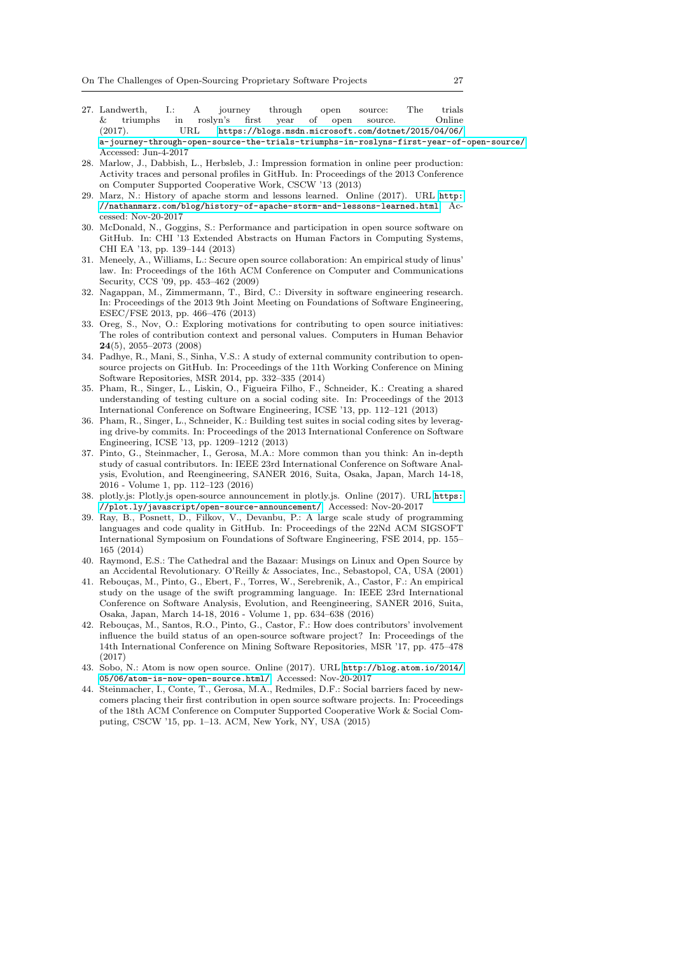- <span id="page-26-1"></span>27. Landwerth, I.: A journey through open source: The trials & triumphs in roslyn's first year of open source. Online  $&$  triumphs in roslyn's first year of open source. (2017). URL [https://blogs.msdn.microsoft.com/dotnet/2015/04/06/](https://blogs.msdn.microsoft.com/dotnet/2015/04/06/a-journey-through-open-source-the-trials-triumphs-in-roslyns-first-year-of-open-source/) [a-journey-through-open-source-the-trials-triumphs-in-roslyns-first-year-of-open-source/](https://blogs.msdn.microsoft.com/dotnet/2015/04/06/a-journey-through-open-source-the-trials-triumphs-in-roslyns-first-year-of-open-source/). Accessed: Jun-4-2017
- <span id="page-26-4"></span>28. Marlow, J., Dabbish, L., Herbsleb, J.: Impression formation in online peer production: Activity traces and personal profiles in GitHub. In: Proceedings of the 2013 Conference on Computer Supported Cooperative Work, CSCW '13 (2013)
- <span id="page-26-10"></span>29. Marz, N.: History of apache storm and lessons learned. Online (2017). URL [http:](http://nathanmarz.com/blog/history-of-apache-storm-and-lessons-learned.html) [//nathanmarz.com/blog/history-of-apache-storm-and-lessons-learned.html](http://nathanmarz.com/blog/history-of-apache-storm-and-lessons-learned.html). Accessed: Nov-20-2017
- <span id="page-26-5"></span>30. McDonald, N., Goggins, S.: Performance and participation in open source software on GitHub. In: CHI '13 Extended Abstracts on Human Factors in Computing Systems, CHI EA '13, pp. 139–144 (2013)
- <span id="page-26-3"></span>31. Meneely, A., Williams, L.: Secure open source collaboration: An empirical study of linus' law. In: Proceedings of the 16th ACM Conference on Computer and Communications Security, CCS '09, pp. 453–462 (2009)
- <span id="page-26-12"></span>32. Nagappan, M., Zimmermann, T., Bird, C.: Diversity in software engineering research. In: Proceedings of the 2013 9th Joint Meeting on Foundations of Software Engineering, ESEC/FSE 2013, pp. 466–476 (2013)
- <span id="page-26-13"></span>33. Oreg, S., Nov, O.: Exploring motivations for contributing to open source initiatives: The roles of contribution context and personal values. Computers in Human Behavior 24(5), 2055–2073 (2008)
- <span id="page-26-16"></span>34. Padhye, R., Mani, S., Sinha, V.S.: A study of external community contribution to opensource projects on GitHub. In: Proceedings of the 11th Working Conference on Mining Software Repositories, MSR 2014, pp. 332–335 (2014)
- <span id="page-26-6"></span>35. Pham, R., Singer, L., Liskin, O., Figueira Filho, F., Schneider, K.: Creating a shared understanding of testing culture on a social coding site. In: Proceedings of the 2013 International Conference on Software Engineering, ICSE '13, pp. 112–121 (2013)
- <span id="page-26-7"></span>36. Pham, R., Singer, L., Schneider, K.: Building test suites in social coding sites by leveraging drive-by commits. In: Proceedings of the 2013 International Conference on Software Engineering, ICSE '13, pp. 1209–1212 (2013)
- <span id="page-26-2"></span>37. Pinto, G., Steinmacher, I., Gerosa, M.A.: More common than you think: An in-depth study of casual contributors. In: IEEE 23rd International Conference on Software Analysis, Evolution, and Reengineering, SANER 2016, Suita, Osaka, Japan, March 14-18, 2016 - Volume 1, pp. 112–123 (2016)
- <span id="page-26-11"></span>38. plotly.js: Plotly.js open-source announcement in plotly.js. Online (2017). URL [https:](https://plot.ly/javascript/open-source-announcement/) [//plot.ly/javascript/open-source-announcement/](https://plot.ly/javascript/open-source-announcement/). Accessed: Nov-20-2017
- <span id="page-26-8"></span>39. Ray, B., Posnett, D., Filkov, V., Devanbu, P.: A large scale study of programming languages and code quality in GitHub. In: Proceedings of the 22Nd ACM SIGSOFT International Symposium on Foundations of Software Engineering, FSE 2014, pp. 155– 165 (2014)
- <span id="page-26-0"></span>40. Raymond, E.S.: The Cathedral and the Bazaar: Musings on Linux and Open Source by an Accidental Revolutionary. O'Reilly & Associates, Inc., Sebastopol, CA, USA (2001)
- <span id="page-26-14"></span>41. Rebou¸cas, M., Pinto, G., Ebert, F., Torres, W., Serebrenik, A., Castor, F.: An empirical study on the usage of the swift programming language. In: IEEE 23rd International Conference on Software Analysis, Evolution, and Reengineering, SANER 2016, Suita, Osaka, Japan, March 14-18, 2016 - Volume 1, pp. 634–638 (2016)
- <span id="page-26-15"></span>42. Rebouças, M., Santos, R.O., Pinto, G., Castor, F.: How does contributors' involvement influence the build status of an open-source software project? In: Proceedings of the 14th International Conference on Mining Software Repositories, MSR '17, pp. 475–478 (2017)
- <span id="page-26-9"></span>43. Sobo, N.: Atom is now open source. Online (2017). URL [http://blog.atom.io/2014/](http://blog.atom.io/2014/05/06/atom-is-now-open-source.html/) [05/06/atom-is-now-open-source.html/](http://blog.atom.io/2014/05/06/atom-is-now-open-source.html/). Accessed: Nov-20-2017
- <span id="page-26-17"></span>44. Steinmacher, I., Conte, T., Gerosa, M.A., Redmiles, D.F.: Social barriers faced by newcomers placing their first contribution in open source software projects. In: Proceedings of the 18th ACM Conference on Computer Supported Cooperative Work & Social Computing, CSCW '15, pp. 1–13. ACM, New York, NY, USA (2015)